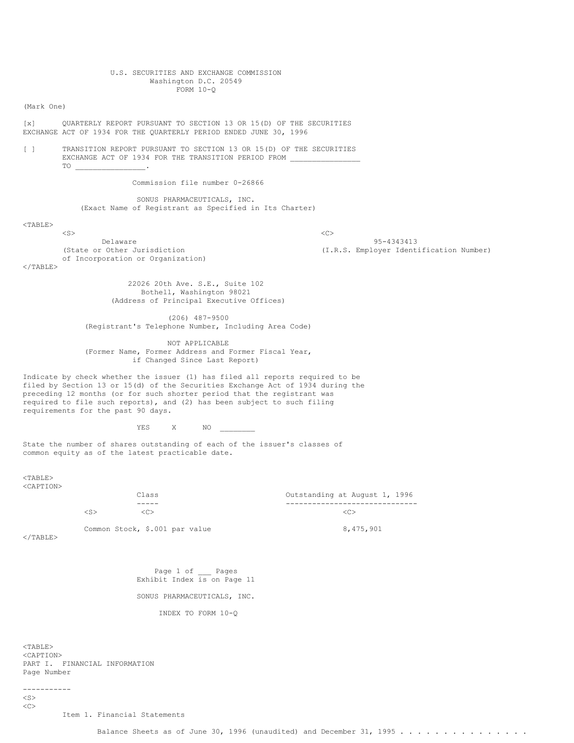### U.S. SECURITIES AND EXCHANGE COMMISSION Washington D.C. 20549 FORM 10-Q

(Mark One)

[x] QUARTERLY REPORT PURSUANT TO SECTION 13 OR 15(D) OF THE SECURITIES EXCHANGE ACT OF 1934 FOR THE QUARTERLY PERIOD ENDED JUNE 30, 1996

[ ] TRANSITION REPORT PURSUANT TO SECTION 13 OR 15(D) OF THE SECURITIES EXCHANGE ACT OF 1934 FOR THE TRANSITION PERIOD FROM TO \_\_\_\_\_\_\_\_\_\_\_\_\_\_\_\_.

Commission file number 0-26866

SONUS PHARMACEUTICALS, INC. (Exact Name of Registrant as Specified in Its Charter)

#### <TABLE>

 $\langle$ S>  $\langle$ C> Delaware 95-4343413<br>(State or Other Jurisdiction 1954) (State or Other Jurisdiction of Incorporation or Organization)

(I.R.S. Employer Identification Number)

 $<$ /TABLE $>$ 

22026 20th Ave. S.E., Suite 102 Bothell, Washington 98021 (Address of Principal Executive Offices)

(206) 487-9500 (Registrant's Telephone Number, Including Area Code)

NOT APPLICABLE (Former Name, Former Address and Former Fiscal Year, if Changed Since Last Report)

Indicate by check whether the issuer (1) has filed all reports required to be filed by Section 13 or 15(d) of the Securities Exchange Act of 1934 during the preceding 12 months (or for such shorter period that the registrant was required to file such reports), and (2) has been subject to such filing requirements for the past 90 days.

YES X NO \_\_\_\_\_\_\_\_

State the number of shares outstanding of each of the issuer's classes of common equity as of the latest practicable date.

<TABLE> <CAPTION>

Class Outstanding at August 1, 1996 ----- ------------------------------  $\langle$  C>  $\langle$  C>  $\langle$  C>  $\langle$  C>  $\langle$  C>  $\langle$  C>  $\langle$  C>  $\langle$  C>

Common Stock,  $$.001$  par value 8,475,901

 $<$ /TABLE $>$ 

Page 1 of Pages Exhibit Index is on Page 11

SONUS PHARMACEUTICALS, INC.

INDEX TO FORM 10-Q

<TABLE> <CAPTION> PART I. FINANCIAL INFORMATION Page Number

-----------  $\langle$ S>  $<$ 

Item 1. Financial Statements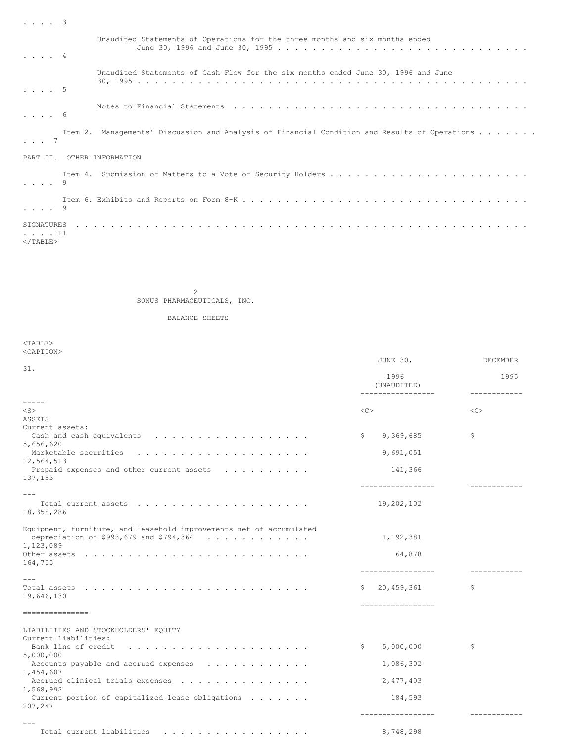| $\cdot \cdot \cdot \cdot 3$ |                                                                                               |
|-----------------------------|-----------------------------------------------------------------------------------------------|
| . 4                         | Unaudited Statements of Operations for the three months and six months ended                  |
| $\cdot \cdot \cdot \cdot 5$ | Unaudited Statements of Cash Flow for the six months ended June 30, 1996 and June             |
| $\cdot$ $\cdot$ $\cdot$ 6   |                                                                                               |
| $\cdot \cdot \cdot$ 7       | Item 2. Managements' Discussion and Analysis of Financial Condition and Results of Operations |
|                             | PART II, OTHER INFORMATION                                                                    |
| $\cdot \cdot \cdot \cdot$ 9 |                                                                                               |
| . 9                         |                                                                                               |
| . 11<br>$<$ /TABLE>         |                                                                                               |

2

SONUS PHARMACEUTICALS, INC.

BALANCE SHEETS

| $<$ TABLE>                                                          |                     |               |
|---------------------------------------------------------------------|---------------------|---------------|
| <caption></caption>                                                 |                     |               |
| 31,                                                                 | JUNE 30,            | DECEMBER      |
|                                                                     | 1996<br>(UNAUDITED) | 1995          |
| $- - - - -$                                                         | -----------------   | ------------  |
| $<$ S $>$                                                           | $<\infty$           | < <sub></sub> |
| ASSETS                                                              |                     |               |
| Current assets:                                                     |                     |               |
| 5,656,620                                                           | 9,369,685<br>\$     | \$            |
|                                                                     | 9,691,051           |               |
| 12,564,513                                                          |                     |               |
| Prepaid expenses and other current assets<br>137, 153               | 141,366             |               |
| $---$                                                               | -----------------   |               |
| 18,358,286                                                          | 19,202,102          |               |
| Equipment, furniture, and leasehold improvements net of accumulated |                     |               |
| depreciation of \$993,679 and \$794,364 $\ldots$<br>1,123,089       | 1,192,381           |               |
| 164,755                                                             | 64,878              |               |
|                                                                     | -----------------   |               |
| $- - -$                                                             |                     |               |
| 19,646,130                                                          | \$20,459,361        | \$            |
|                                                                     | ------------------  |               |
| ===============                                                     |                     |               |
| LIABILITIES AND STOCKHOLDERS' EQUITY                                |                     |               |
| Current liabilities:                                                |                     |               |
| Bank line of credit                                                 | 5,000,000<br>\$     | \$            |
| 5,000,000                                                           |                     |               |
| Accounts payable and accrued expenses                               | 1,086,302           |               |
| 1,454,607<br>Accrued clinical trials expenses                       | 2, 477, 403         |               |
| 1,568,992                                                           |                     |               |
| Current portion of capitalized lease obligations $\dots \dots$      | 184,593             |               |
| 207,247                                                             |                     |               |
|                                                                     | -----------------   |               |
| Total current liabilities                                           | 8,748,298           |               |
|                                                                     |                     |               |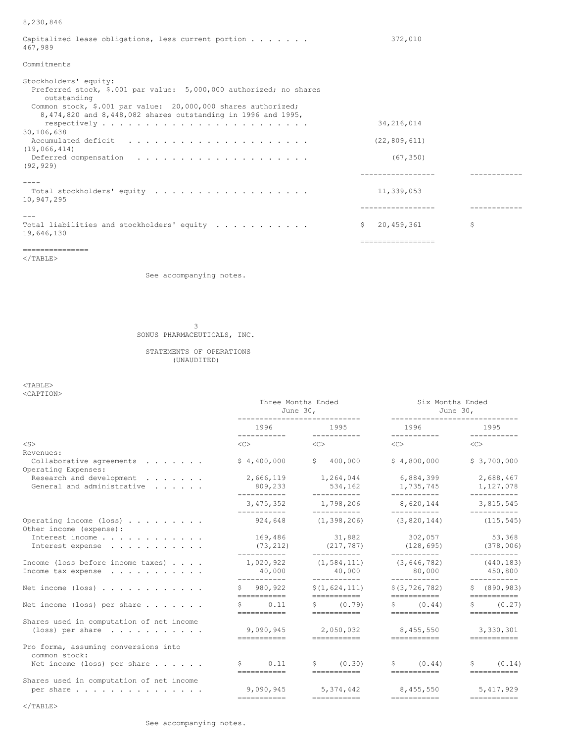# 8,230,846

| Capitalized lease obligations, less current portion $\ldots$<br>467,989                                                                                                     | 372,010                      |    |
|-----------------------------------------------------------------------------------------------------------------------------------------------------------------------------|------------------------------|----|
| Commitments                                                                                                                                                                 |                              |    |
| Stockholders' equity:<br>Preferred stock, \$.001 par value: 5,000,000 authorized; no shares<br>outstanding<br>Common stock, \$.001 par value: 20,000,000 shares authorized; |                              |    |
| 8,474,820 and 8,448,082 shares outstanding in 1996 and 1995,<br>30,106,638                                                                                                  | 34, 216, 014                 |    |
| (19,066,414)                                                                                                                                                                | (22, 809, 611)               |    |
| (92, 929)                                                                                                                                                                   | (67, 350)                    |    |
|                                                                                                                                                                             |                              |    |
| 10,947,295                                                                                                                                                                  | 11,339,053                   |    |
|                                                                                                                                                                             |                              |    |
| Total liabilities and stockholders' equity<br>19,646,130                                                                                                                    | $\mathsf{S}^-$<br>20,459,361 | \$ |
|                                                                                                                                                                             | =================            |    |

===============

 $\rm <$  /TABLE>

See accompanying notes.

3

SONUS PHARMACEUTICALS, INC.

# STATEMENTS OF OPERATIONS (UNAUDITED)

<TABLE> <CAPTION>

|                                                             | Three Months Ended<br>June 30, |                              | Six Months Ended<br>---------------------- | June 30,                                   |
|-------------------------------------------------------------|--------------------------------|------------------------------|--------------------------------------------|--------------------------------------------|
|                                                             | 1996<br>___________            | 1995<br>------------         | 1996 — 1996                                | 1995<br>-----------                        |
| $<$ S>                                                      | $\langle C \rangle$            | < <c></c>                    | $\langle C \rangle$                        | $<<$ $>>$                                  |
| Revenues:                                                   |                                |                              |                                            |                                            |
| Collaborative agreements<br>Operating Expenses:             | \$4,400,000                    | 400,000<br>Ŝ.                | \$4,800,000                                | \$3,700,000                                |
| Research and development                                    | 2,666,119                      | 1,264,044                    | 6,884,399                                  | 2,688,467                                  |
| General and administrative                                  | 809,233<br>-----------         | 534,162<br>-----------       | 1,735,745<br>___________                   | 1,127,078<br>-----------                   |
|                                                             | 3, 475, 352<br>-----------     | 1,798,206<br>___________     | 8,620,144<br>------------                  | 3,815,545                                  |
| Operating income (loss) $\cdots$<br>Other income (expense): | 924,648                        | (1, 398, 206)                | (3,820,144)                                | (115, 545)                                 |
| Interest income                                             | 169,486                        | 31,882                       | 302,057                                    | 53,368                                     |
| Interest expense                                            | (73, 212)<br>-----------       | (217, 787)<br>------------   | (128, 695)<br>------------                 | (378, 006)<br>-----------                  |
| Income (loss before income taxes)                           | 1,020,922                      | (1, 584, 111)                | (3, 646, 782)                              | (440, 183)                                 |
| Income tax expense                                          | 40,000<br>-----------          | 40,000<br>___________        | 80,000<br>-----------                      | 450,800<br>___________                     |
| Net income $(\text{loss})$                                  | \$980,922<br>===========       | \$(1,624,111)<br>=========== | \$(3, 726, 782)<br>===========             | \$ (890, 983)<br>$=$ = = = = = = = = = = = |
| Net income (loss) per share $\ldots$                        | \$0.11                         | \$ (0.79)                    | \$ (0.44)                                  | S<br>(0.27)                                |
|                                                             | ===========                    | ============                 | ============                               | ===========                                |
| Shares used in computation of net income                    |                                |                              |                                            |                                            |
| (loss) per share $\ldots$                                   | 9,090,945<br>===========       | 2,050,032<br>===========     | 8,455,550<br>===========                   | 3,330,301                                  |
| Pro forma, assuming conversions into<br>common stock:       |                                |                              |                                            |                                            |
| Net income (loss) per share $\ldots$                        | 0.11<br>\$<br>-----------      | Ŝ.<br>(0.30)<br>===========  | S.<br>(0.44)<br>===========                | \$<br>(0.14)                               |
| Shares used in computation of net income                    |                                |                              |                                            |                                            |
| per share                                                   | 9,090,945                      | 5,374,442                    | 8,455,550                                  | 5,417,929                                  |
|                                                             | ------------                   | ------------                 | ------------                               | ------------                               |
| $<$ /TABLE>                                                 |                                |                              |                                            |                                            |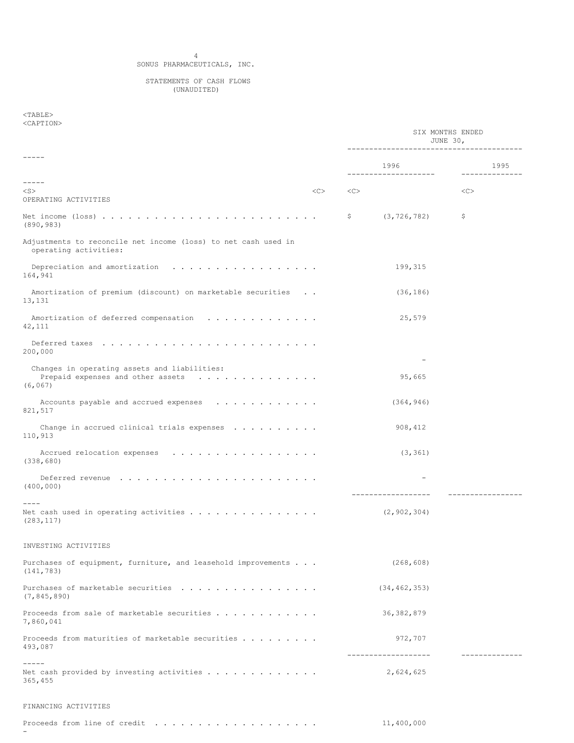## 4 SONUS PHARMACEUTICALS, INC.

#### STATEMENTS OF CASH FLOWS (UNAUDITED)

## $<$ TABLE $>$ <CAPTION>

-

|                                                                                               |    |    | SIX MONTHS ENDED<br>JUNE 30,<br>__________________________________ |    |                             |
|-----------------------------------------------------------------------------------------------|----|----|--------------------------------------------------------------------|----|-----------------------------|
| -----                                                                                         |    |    | 1996                                                               |    | 1995                        |
| -----<br>$<$ S $>$<br>OPERATING ACTIVITIES                                                    | << | << | --------------------                                               | << | ----------                  |
| (890, 983)                                                                                    |    | Ş. | (3, 726, 782)                                                      | \$ |                             |
| Adjustments to reconcile net income (loss) to net cash used in<br>operating activities:       |    |    |                                                                    |    |                             |
| 164,941                                                                                       |    |    | 199,315                                                            |    |                             |
| Amortization of premium (discount) on marketable securities<br>13,131                         |    |    | (36, 186)                                                          |    |                             |
| Amortization of deferred compensation<br>42,111                                               |    |    | 25,579                                                             |    |                             |
| 200,000                                                                                       |    |    |                                                                    |    |                             |
| Changes in operating assets and liabilities:<br>Prepaid expenses and other assets<br>(6, 067) |    |    | 95,665                                                             |    |                             |
| Accounts payable and accrued expenses<br>821,517                                              |    |    | (364, 946)                                                         |    |                             |
| Change in accrued clinical trials expenses $\ldots$<br>110,913                                |    |    | 908, 412                                                           |    |                             |
| (338, 680)                                                                                    |    |    | (3, 361)                                                           |    |                             |
| (400, 000)                                                                                    |    |    | ----------------                                                   |    |                             |
| Net cash used in operating activities $\ldots \ldots \ldots \ldots \ldots$<br>(283, 117)      |    |    | (2, 902, 304)                                                      |    |                             |
| INVESTING ACTIVITIES                                                                          |    |    |                                                                    |    |                             |
| Purchases of equipment, furniture, and leasehold improvements<br>(141, 783)                   |    |    | (268, 608)                                                         |    |                             |
| Purchases of marketable securities<br>(7, 845, 890)                                           |    |    | (34, 462, 353)                                                     |    |                             |
| Proceeds from sale of marketable securities<br>7,860,041                                      |    |    | 36, 382, 879                                                       |    |                             |
| Proceeds from maturities of marketable securities<br>493,087                                  |    |    | 972,707<br>-------------------                                     |    | . _ _ _ _ _ _ _ _ _ _ _ _ _ |
| $- - - - -$<br>365,455                                                                        |    |    | 2,624,625                                                          |    |                             |
| FINANCING ACTIVITIES                                                                          |    |    |                                                                    |    |                             |
| Proceeds from line of credit $\ldots \ldots \ldots \ldots \ldots$                             |    |    | 11,400,000                                                         |    |                             |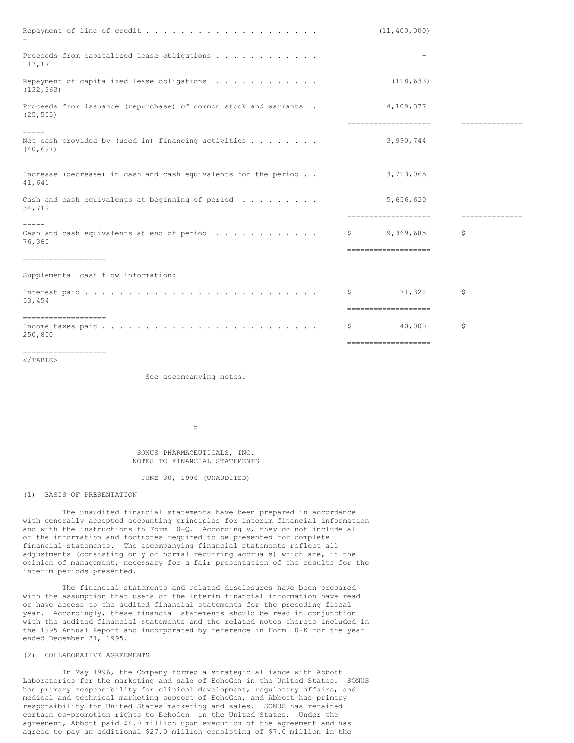|                                                                                            |              | (11, 400, 000)                   |               |
|--------------------------------------------------------------------------------------------|--------------|----------------------------------|---------------|
| Proceeds from capitalized lease obligations<br>117, 171                                    |              |                                  |               |
| Repayment of capitalized lease obligations<br>(132, 363)                                   |              | (118, 633)                       |               |
| Proceeds from issuance (repurchase) of common stock and warrants .<br>(25, 505)            |              | 4,109,377<br>------------------- | ------------  |
| Net cash provided by (used in) financing activities $\ldots$<br>(40, 697)                  |              | 3,990,744                        |               |
| Increase (decrease) in cash and cash equivalents for the period<br>41,641                  |              | 3,713,065                        |               |
| Cash and cash equivalents at beginning of period $\ldots \ldots$<br>34,719                 |              | 5,656,620<br>------------------- | ------------- |
| $- - - - -$<br>Cash and cash equivalents at end of period $\ldots \ldots \ldots$<br>76,360 | $\mathsf{S}$ | 9,369,685<br>------------------- | \$            |
| --------------------<br>Supplemental cash flow information:                                |              |                                  |               |
| 53,454                                                                                     | -S           | 71,322<br>-------------------    | S             |
| --------------------<br>250,800                                                            | Ş.           | 40,000                           | \$            |
| --------------------                                                                       |              | sessessessessessesses            |               |

 $\langle$ /TABLE $>$ 

See accompanying notes.

5

### SONUS PHARMACEUTICALS, INC. NOTES TO FINANCIAL STATEMENTS

JUNE 30, 1996 (UNAUDITED)

### (1) BASIS OF PRESENTATION

The unaudited financial statements have been prepared in accordance with generally accepted accounting principles for interim financial information and with the instructions to Form 10-Q. Accordingly, they do not include all of the information and footnotes required to be presented for complete financial statements. The accompanying financial statements reflect all adjustments (consisting only of normal recurring accruals) which are, in the opinion of management, necessary for a fair presentation of the results for the interim periods presented.

The financial statements and related disclosures have been prepared with the assumption that users of the interim financial information have read or have access to the audited financial statements for the preceding fiscal year. Accordingly, these financial statements should be read in conjunction with the audited financial statements and the related notes thereto included in the 1995 Annual Report and incorporated by reference in Form 10-K for the year ended December 31, 1995.

#### (2) COLLABORATIVE AGREEMENTS

In May 1996, the Company formed a strategic alliance with Abbott Laboratories for the marketing and sale of EchoGen in the United States. SONUS has primary responsibility for clinical development, regulatory affairs, and medical and technical marketing support of EchoGen, and Abbott has primary responsibility for United States marketing and sales. SONUS has retained certain co-promotion rights to EchoGen in the United States. Under the agreement, Abbott paid \$4.0 million upon execution of the agreement and has agreed to pay an additional \$27.0 million consisting of \$7.0 million in the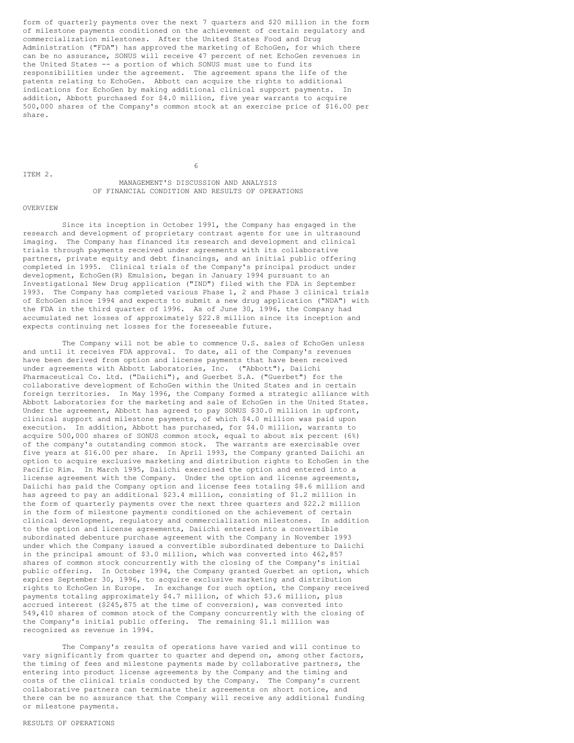form of quarterly payments over the next 7 quarters and \$20 million in the form of milestone payments conditioned on the achievement of certain regulatory and commercialization milestones. After the United States Food and Drug Administration ("FDA") has approved the marketing of EchoGen, for which there can be no assurance, SONUS will receive 47 percent of net EchoGen revenues in the United States -- a portion of which SONUS must use to fund its responsibilities under the agreement. The agreement spans the life of the patents relating to EchoGen. Abbott can acquire the rights to additional indications for EchoGen by making additional clinical support payments. In addition, Abbott purchased for \$4.0 million, five year warrants to acquire 500,000 shares of the Company's common stock at an exercise price of \$16.00 per share.

ITEM 2.

6

### MANAGEMENT'S DISCUSSION AND ANALYSIS OF FINANCIAL CONDITION AND RESULTS OF OPERATIONS

#### OVERVIEW

Since its inception in October 1991, the Company has engaged in the research and development of proprietary contrast agents for use in ultrasound imaging. The Company has financed its research and development and clinical trials through payments received under agreements with its collaborative partners, private equity and debt financings, and an initial public offering completed in 1995. Clinical trials of the Company's principal product under development, EchoGen(R) Emulsion, began in January 1994 pursuant to an Investigational New Drug application ("IND") filed with the FDA in September 1993. The Company has completed various Phase 1, 2 and Phase 3 clinical trials of EchoGen since 1994 and expects to submit a new drug application ("NDA") with the FDA in the third quarter of 1996. As of June 30, 1996, the Company had accumulated net losses of approximately \$22.8 million since its inception and expects continuing net losses for the foreseeable future.

The Company will not be able to commence U.S. sales of EchoGen unless and until it receives FDA approval. To date, all of the Company's revenues have been derived from option and license payments that have been received under agreements with Abbott Laboratories, Inc. ("Abbott"), Daiichi Pharmaceutical Co. Ltd. ("Daiichi"), and Guerbet S.A. ("Guerbet") for the collaborative development of EchoGen within the United States and in certain foreign territories. In May 1996, the Company formed a strategic alliance with Abbott Laboratories for the marketing and sale of EchoGen in the United States. Under the agreement, Abbott has agreed to pay SONUS \$30.0 million in upfront, clinical support and milestone payments, of which \$4.0 million was paid upon execution. In addition, Abbott has purchased, for \$4.0 million, warrants to acquire 500,000 shares of SONUS common stock, equal to about six percent (6%) of the company's outstanding common stock. The warrants are exercisable over five years at \$16.00 per share. In April 1993, the Company granted Daiichi an option to acquire exclusive marketing and distribution rights to EchoGen in the Pacific Rim. In March 1995, Daiichi exercised the option and entered into a license agreement with the Company. Under the option and license agreements, Daiichi has paid the Company option and license fees totaling \$8.6 million and has agreed to pay an additional \$23.4 million, consisting of \$1.2 million in the form of quarterly payments over the next three quarters and \$22.2 million in the form of milestone payments conditioned on the achievement of certain clinical development, regulatory and commercialization milestones. In addition to the option and license agreements, Daiichi entered into a convertible subordinated debenture purchase agreement with the Company in November 1993 under which the Company issued a convertible subordinated debenture to Daiichi in the principal amount of \$3.0 million, which was converted into 462,857 shares of common stock concurrently with the closing of the Company's initial public offering. In October 1994, the Company granted Guerbet an option, which expires September 30, 1996, to acquire exclusive marketing and distribution rights to EchoGen in Europe. In exchange for such option, the Company received payments totaling approximately \$4.7 million, of which \$3.6 million, plus accrued interest (\$245,875 at the time of conversion), was converted into 549,410 shares of common stock of the Company concurrently with the closing of the Company's initial public offering. The remaining \$1.1 million was recognized as revenue in 1994.

The Company's results of operations have varied and will continue to vary significantly from quarter to quarter and depend on, among other factors, the timing of fees and milestone payments made by collaborative partners, the entering into product license agreements by the Company and the timing and costs of the clinical trials conducted by the Company. The Company's current collaborative partners can terminate their agreements on short notice, and there can be no assurance that the Company will receive any additional funding or milestone payments.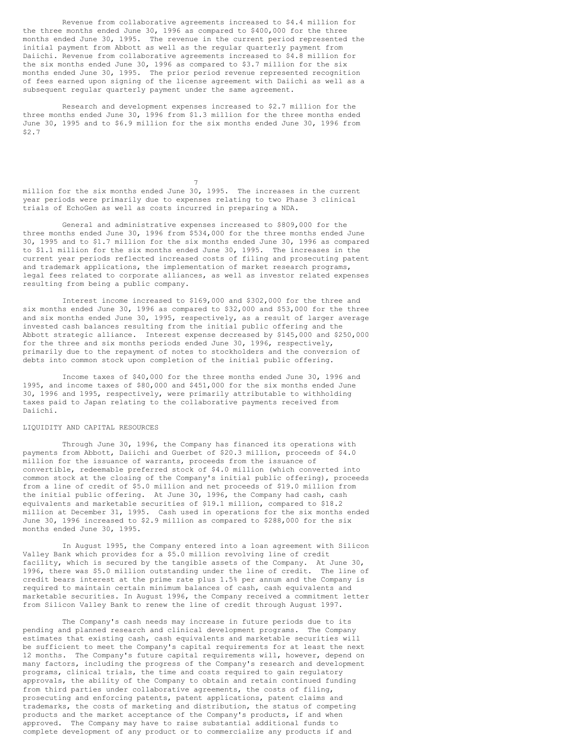Revenue from collaborative agreements increased to \$4.4 million for the three months ended June 30, 1996 as compared to \$400,000 for the three months ended June 30, 1995. The revenue in the current period represented the initial payment from Abbott as well as the regular quarterly payment from Daiichi. Revenue from collaborative agreements increased to \$4.8 million for the six months ended June 30, 1996 as compared to \$3.7 million for the six months ended June 30, 1995. The prior period revenue represented recognition of fees earned upon signing of the license agreement with Daiichi as well as a subsequent regular quarterly payment under the same agreement.

Research and development expenses increased to \$2.7 million for the three months ended June 30, 1996 from \$1.3 million for the three months ended June 30, 1995 and to \$6.9 million for the six months ended June 30, 1996 from \$2.7

million for the six months ended June 30, 1995. The increases in the current year periods were primarily due to expenses relating to two Phase 3 clinical trials of EchoGen as well as costs incurred in preparing a NDA.

7

General and administrative expenses increased to \$809,000 for the three months ended June 30, 1996 from \$534,000 for the three months ended June 30, 1995 and to \$1.7 million for the six months ended June 30, 1996 as compared to \$1.1 million for the six months ended June 30, 1995. The increases in the current year periods reflected increased costs of filing and prosecuting patent and trademark applications, the implementation of market research programs, legal fees related to corporate alliances, as well as investor related expenses resulting from being a public company.

Interest income increased to \$169,000 and \$302,000 for the three and six months ended June 30, 1996 as compared to \$32,000 and \$53,000 for the three and six months ended June 30, 1995, respectively, as a result of larger average invested cash balances resulting from the initial public offering and the Abbott strategic alliance. Interest expense decreased by \$145,000 and \$250,000 for the three and six months periods ended June 30, 1996, respectively, primarily due to the repayment of notes to stockholders and the conversion of debts into common stock upon completion of the initial public offering.

Income taxes of \$40,000 for the three months ended June 30, 1996 and 1995, and income taxes of \$80,000 and \$451,000 for the six months ended June 30, 1996 and 1995, respectively, were primarily attributable to withholding taxes paid to Japan relating to the collaborative payments received from Daiichi.

### LIQUIDITY AND CAPITAL RESOURCES

Through June 30, 1996, the Company has financed its operations with payments from Abbott, Daiichi and Guerbet of \$20.3 million, proceeds of \$4.0 million for the issuance of warrants, proceeds from the issuance of convertible, redeemable preferred stock of \$4.0 million (which converted into common stock at the closing of the Company's initial public offering), proceeds from a line of credit of \$5.0 million and net proceeds of \$19.0 million from the initial public offering. At June 30, 1996, the Company had cash, cash equivalents and marketable securities of \$19.1 million, compared to \$18.2 million at December 31, 1995. Cash used in operations for the six months ended June 30, 1996 increased to \$2.9 million as compared to \$288,000 for the six months ended June 30, 1995.

In August 1995, the Company entered into a loan agreement with Silicon Valley Bank which provides for a \$5.0 million revolving line of credit facility, which is secured by the tangible assets of the Company. At June 30, 1996, there was \$5.0 million outstanding under the line of credit. The line of credit bears interest at the prime rate plus 1.5% per annum and the Company is required to maintain certain minimum balances of cash, cash equivalents and marketable securities. In August 1996, the Company received a commitment letter from Silicon Valley Bank to renew the line of credit through August 1997.

The Company's cash needs may increase in future periods due to its pending and planned research and clinical development programs. The Company estimates that existing cash, cash equivalents and marketable securities will be sufficient to meet the Company's capital requirements for at least the next 12 months. The Company's future capital requirements will, however, depend on many factors, including the progress of the Company's research and development programs, clinical trials, the time and costs required to gain regulatory approvals, the ability of the Company to obtain and retain continued funding from third parties under collaborative agreements, the costs of filing, prosecuting and enforcing patents, patent applications, patent claims and trademarks, the costs of marketing and distribution, the status of competing products and the market acceptance of the Company's products, if and when approved. The Company may have to raise substantial additional funds to complete development of any product or to commercialize any products if and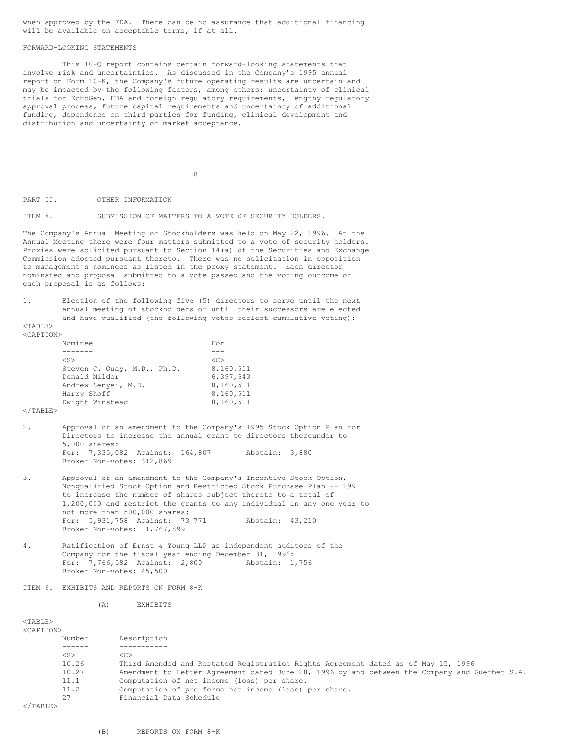when approved by the FDA. There can be no assurance that additional financing will be available on acceptable terms, if at all.

#### FORWARD-LOOKING STATEMENTS

This 10-Q report contains certain forward-looking statements that involve risk and uncertainties. As discussed in the Company's 1995 annual report on Form 10-K, the Company's future operating results are uncertain and may be impacted by the following factors, among others: uncertainty of clinical trials for EchoGen, FDA and foreign regulatory requirements, lengthy regulatory approval process, future capital requirements and uncertainty of additional funding, dependence on third parties for funding, clinical development and distribution and uncertainty of market acceptance.

8

PART II. OTHER INFORMATION

ITEM 4. SUBMISSION OF MATTERS TO A VOTE OF SECURITY HOLDERS.

The Company's Annual Meeting of Stockholders was held on May 22, 1996. At the Annual Meeting there were four matters submitted to a vote of security holders. Proxies were solicited pursuant to Section 14(a) of the Securities and Exchange Commission adopted pursuant thereto. There was no solicitation in opposition to management's nominees as listed in the proxy statement. Each director nominated and proposal submitted to a vote passed and the voting outcome of each proposal is as follows:

1. Election of the following five (5) directors to serve until the next annual meeting of stockholders or until their successors are elected and have qualified (the following votes reflect cumulative voting):

 $<$ TABLE> <CAPTION>

| Nominee                     | For           |
|-----------------------------|---------------|
|                             |               |
| $<$ S $>$                   | < <sub></sub> |
| Steven C. Ouay, M.D., Ph.D. | 8,160,511     |
| Donald Milder               | 6,397,643     |
| Andrew Senyei, M.D.         | 8,160,511     |
| Harry Shoff                 | 8,160,511     |
| Dwight Winstead             | 8,160,511     |
|                             |               |

 $\langle$ /TABLE>

- 2. Approval of an amendment to the Company's 1995 Stock Option Plan for Directors to increase the annual grant to directors thereunder to 5,000 shares: For: 7,335,082 Against: 164,807 Abstain: 3,880 Broker Non-votes: 312,869
- 3. Approval of an amendment to the Company's Incentive Stock Option, Nonqualified Stock Option and Restricted Stock Purchase Plan -- 1991 to increase the number of shares subject thereto to a total of 1,200,000 and restrict the grants to any individual in any one year to not more than 500,000 shares: For: 5,931,758 Against: 73,771 Abstain: 43,210 Broker Non-votes: 1,767,899
- 4. Ratification of Ernst & Young LLP as independent auditors of the Company for the fiscal year ending December 31, 1996:<br>For: 7,766,582 Against: 2,800 Abstain: 1,756 For: 7,766,582 Against: 2,800 Broker Non-votes: 45,500

ITEM 6. EXHIBITS AND REPORTS ON FORM 8-K

(A) EXHIBITS

<TABLE>  $CCAPT$ 

| TON>      |                                                                                               |
|-----------|-----------------------------------------------------------------------------------------------|
| Number    | Description                                                                                   |
|           |                                                                                               |
| $<$ S $>$ | < <sub></sub>                                                                                 |
| 10.26     | Third Amended and Restated Registration Rights Agreement dated as of May 15, 1996             |
| 10.27     | Amendment to Letter Agreement dated June 28, 1996 by and between the Company and Guerbet S.A. |
| 11.1      | Computation of net income (loss) per share.                                                   |
| 11.2      | Computation of pro forma net income (loss) per share.                                         |
| 27        | Financial Data Schedule                                                                       |
|           |                                                                                               |

 $\langle$ /TABLE>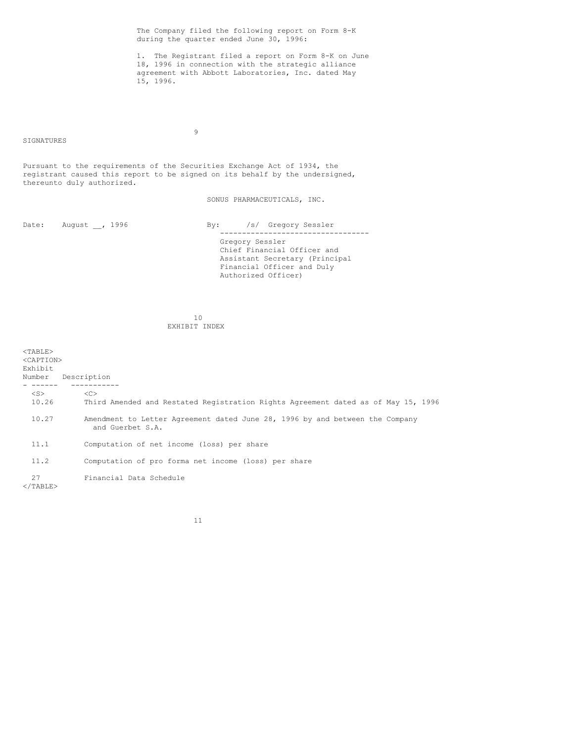The Company filed the following report on Form 8-K during the quarter ended June 30, 1996: 1. The Registrant filed a report on Form 8-K on June 18, 1996 in connection with the strategic alliance agreement with Abbott Laboratories, Inc. dated May 15, 1996. 9 SIGNATURES Pursuant to the requirements of the Securities Exchange Act of 1934, the registrant caused this report to be signed on its behalf by the undersigned, thereunto duly authorized. SONUS PHARMACEUTICALS, INC. Date: August , 1996 By: /s/ Gregory Sessler ---------------------------------- Gregory Sessler Chief Financial Officer and Assistant Secretary (Principal Financial Officer and Duly Authorized Officer) 10 EXHIBIT INDEX <TABLE> <CAPTION> Exhibit Number Description - ------ -----------  $\langle S \rangle$   $\langle C \rangle$ <br>10.26 This Third Amended and Restated Registration Rights Agreement dated as of May 15, 1996 10.27 Amendment to Letter Agreement dated June 28, 1996 by and between the Company and Guerbet S.A. 11.1 Computation of net income (loss) per share 11.2 Computation of pro forma net income (loss) per share 27 Financial Data Schedule  $<$ /TABLE>

11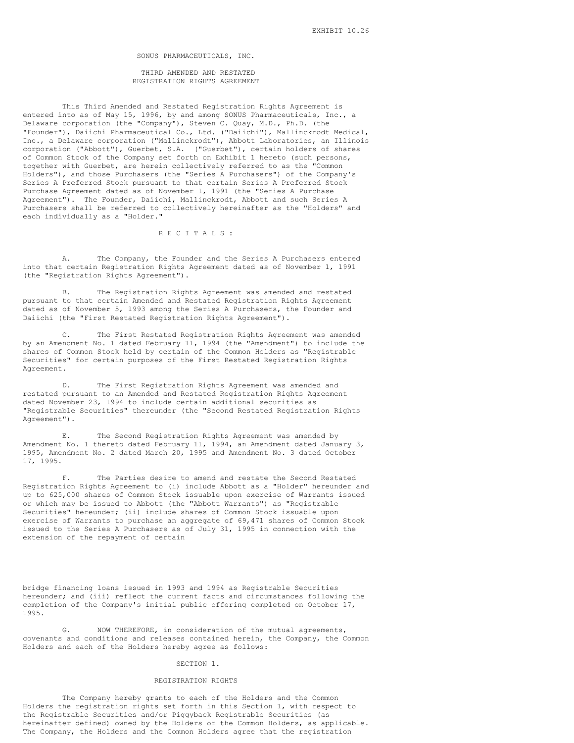SONUS PHARMACEUTICALS, INC.

THIRD AMENDED AND RESTATED REGISTRATION RIGHTS AGREEMENT

This Third Amended and Restated Registration Rights Agreement is entered into as of May 15, 1996, by and among SONUS Pharmaceuticals, Inc., a Delaware corporation (the "Company"), Steven C. Quay, M.D., Ph.D. (the "Founder"), Daiichi Pharmaceutical Co., Ltd. ("Daiichi"), Mallinckrodt Medical, Inc., a Delaware corporation ("Mallinckrodt"), Abbott Laboratories, an Illinois corporation ("Abbott"), Guerbet, S.A. ("Guerbet"), certain holders of shares of Common Stock of the Company set forth on Exhibit 1 hereto (such persons, together with Guerbet, are herein collectively referred to as the "Common Holders"), and those Purchasers (the "Series A Purchasers") of the Company's Series A Preferred Stock pursuant to that certain Series A Preferred Stock Purchase Agreement dated as of November 1, 1991 (the "Series A Purchase Agreement"). The Founder, Daiichi, Mallinckrodt, Abbott and such Series A Purchasers shall be referred to collectively hereinafter as the "Holders" and each individually as a "Holder."

R E C I T A L S :

A. The Company, the Founder and the Series A Purchasers entered into that certain Registration Rights Agreement dated as of November 1, 1991 (the "Registration Rights Agreement").

B. The Registration Rights Agreement was amended and restated pursuant to that certain Amended and Restated Registration Rights Agreement dated as of November 5, 1993 among the Series A Purchasers, the Founder and Daiichi (the "First Restated Registration Rights Agreement").

The First Restated Registration Rights Agreement was amended by an Amendment No. 1 dated February 11, 1994 (the "Amendment") to include the shares of Common Stock held by certain of the Common Holders as "Registrable Securities" for certain purposes of the First Restated Registration Rights Agreement.

D. The First Registration Rights Agreement was amended and restated pursuant to an Amended and Restated Registration Rights Agreement dated November 23, 1994 to include certain additional securities as "Registrable Securities" thereunder (the "Second Restated Registration Rights Agreement").

E. The Second Registration Rights Agreement was amended by Amendment No. 1 thereto dated February 11, 1994, an Amendment dated January 3, 1995, Amendment No. 2 dated March 20, 1995 and Amendment No. 3 dated October 17, 1995.

F. The Parties desire to amend and restate the Second Restated Registration Rights Agreement to (i) include Abbott as a "Holder" hereunder and up to 625,000 shares of Common Stock issuable upon exercise of Warrants issued or which may be issued to Abbott (the "Abbott Warrants") as "Registrable Securities" hereunder; (ii) include shares of Common Stock issuable upon exercise of Warrants to purchase an aggregate of 69,471 shares of Common Stock issued to the Series A Purchasers as of July 31, 1995 in connection with the extension of the repayment of certain

bridge financing loans issued in 1993 and 1994 as Registrable Securities hereunder; and (iii) reflect the current facts and circumstances following the completion of the Company's initial public offering completed on October 17, 1995.

G. NOW THEREFORE, in consideration of the mutual agreements, covenants and conditions and releases contained herein, the Company, the Common Holders and each of the Holders hereby agree as follows:

#### SECTION 1.

#### REGISTRATION RIGHTS

The Company hereby grants to each of the Holders and the Common Holders the registration rights set forth in this Section 1, with respect to the Registrable Securities and/or Piggyback Registrable Securities (as hereinafter defined) owned by the Holders or the Common Holders, as applicable. The Company, the Holders and the Common Holders agree that the registration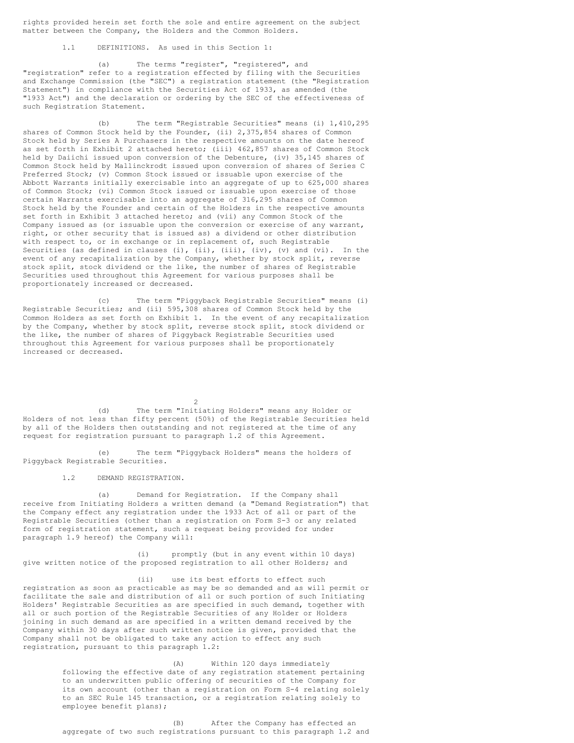rights provided herein set forth the sole and entire agreement on the subject matter between the Company, the Holders and the Common Holders.

1.1 DEFINITIONS. As used in this Section 1:

(a) The terms "register", "registered", and "registration" refer to a registration effected by filing with the Securities and Exchange Commission (the "SEC") a registration statement (the "Registration Statement") in compliance with the Securities Act of 1933, as amended (the "1933 Act") and the declaration or ordering by the SEC of the effectiveness of such Registration Statement.

(b) The term "Registrable Securities" means (i) 1,410,295 shares of Common Stock held by the Founder, (ii) 2,375,854 shares of Common Stock held by Series A Purchasers in the respective amounts on the date hereof as set forth in Exhibit 2 attached hereto; (iii) 462,857 shares of Common Stock held by Daiichi issued upon conversion of the Debenture, (iv) 35,145 shares of Common Stock held by Mallinckrodt issued upon conversion of shares of Series C Preferred Stock; (v) Common Stock issued or issuable upon exercise of the Abbott Warrants initially exercisable into an aggregate of up to 625,000 shares of Common Stock; (vi) Common Stock issued or issuable upon exercise of those certain Warrants exercisable into an aggregate of 316,295 shares of Common Stock held by the Founder and certain of the Holders in the respective amounts set forth in Exhibit 3 attached hereto; and (vii) any Common Stock of the Company issued as (or issuable upon the conversion or exercise of any warrant, right, or other security that is issued as) a dividend or other distribution with respect to, or in exchange or in replacement of, such Registrable Securities (as defined in clauses (i), (ii), (iii), (iv), (v) and (vi). In the event of any recapitalization by the Company, whether by stock split, reverse stock split, stock dividend or the like, the number of shares of Registrable Securities used throughout this Agreement for various purposes shall be proportionately increased or decreased.

(c) The term "Piggyback Registrable Securities" means (i) Registrable Securities; and (ii) 595,308 shares of Common Stock held by the Common Holders as set forth on Exhibit 1. In the event of any recapitalization by the Company, whether by stock split, reverse stock split, stock dividend or the like, the number of shares of Piggyback Registrable Securities used throughout this Agreement for various purposes shall be proportionately increased or decreased.

(d) The term "Initiating Holders" means any Holder or Holders of not less than fifty percent (50%) of the Registrable Securities held by all of the Holders then outstanding and not registered at the time of any request for registration pursuant to paragraph 1.2 of this Agreement.

 $\mathcal{D}$ 

(e) The term "Piggyback Holders" means the holders of Piggyback Registrable Securities.

1.2 DEMAND REGISTRATION.

(a) Demand for Registration. If the Company shall receive from Initiating Holders a written demand (a "Demand Registration") that the Company effect any registration under the 1933 Act of all or part of the Registrable Securities (other than a registration on Form S-3 or any related form of registration statement, such a request being provided for under paragraph 1.9 hereof) the Company will:

(i) promptly (but in any event within 10 days) give written notice of the proposed registration to all other Holders; and

(ii) use its best efforts to effect such registration as soon as practicable as may be so demanded and as will permit or facilitate the sale and distribution of all or such portion of such Initiating Holders' Registrable Securities as are specified in such demand, together with all or such portion of the Registrable Securities of any Holder or Holders joining in such demand as are specified in a written demand received by the Company within 30 days after such written notice is given, provided that the Company shall not be obligated to take any action to effect any such registration, pursuant to this paragraph 1.2:

> (A) Within 120 days immediately following the effective date of any registration statement pertaining to an underwritten public offering of securities of the Company for its own account (other than a registration on Form S-4 relating solely to an SEC Rule 145 transaction, or a registration relating solely to employee benefit plans);

> (B) After the Company has effected an aggregate of two such registrations pursuant to this paragraph 1.2 and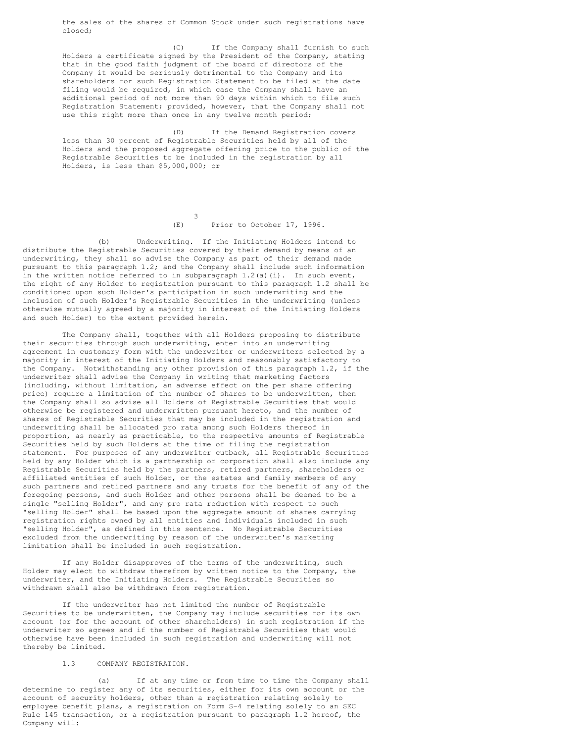the sales of the shares of Common Stock under such registrations have closed;

(C) If the Company shall furnish to such Holders a certificate signed by the President of the Company, stating that in the good faith judgment of the board of directors of the Company it would be seriously detrimental to the Company and its shareholders for such Registration Statement to be filed at the date filing would be required, in which case the Company shall have an additional period of not more than 90 days within which to file such Registration Statement; provided, however, that the Company shall not use this right more than once in any twelve month period;

(D) If the Demand Registration covers less than 30 percent of Registrable Securities held by all of the Holders and the proposed aggregate offering price to the public of the Registrable Securities to be included in the registration by all Holders, is less than \$5,000,000; or

> 3 (E) Prior to October 17, 1996.

(b) Underwriting. If the Initiating Holders intend to distribute the Registrable Securities covered by their demand by means of an underwriting, they shall so advise the Company as part of their demand made pursuant to this paragraph 1.2; and the Company shall include such information in the written notice referred to in subparagraph  $1.2(a)(i)$ . In such event, the right of any Holder to registration pursuant to this paragraph 1.2 shall be conditioned upon such Holder's participation in such underwriting and the inclusion of such Holder's Registrable Securities in the underwriting (unless otherwise mutually agreed by a majority in interest of the Initiating Holders and such Holder) to the extent provided herein.

The Company shall, together with all Holders proposing to distribute their securities through such underwriting, enter into an underwriting agreement in customary form with the underwriter or underwriters selected by a majority in interest of the Initiating Holders and reasonably satisfactory to the Company. Notwithstanding any other provision of this paragraph 1.2, if the underwriter shall advise the Company in writing that marketing factors (including, without limitation, an adverse effect on the per share offering price) require a limitation of the number of shares to be underwritten, then the Company shall so advise all Holders of Registrable Securities that would otherwise be registered and underwritten pursuant hereto, and the number of shares of Registrable Securities that may be included in the registration and underwriting shall be allocated pro rata among such Holders thereof in proportion, as nearly as practicable, to the respective amounts of Registrable Securities held by such Holders at the time of filing the registration statement. For purposes of any underwriter cutback, all Registrable Securities held by any Holder which is a partnership or corporation shall also include any Registrable Securities held by the partners, retired partners, shareholders or affiliated entities of such Holder, or the estates and family members of any such partners and retired partners and any trusts for the benefit of any of the foregoing persons, and such Holder and other persons shall be deemed to be a single "selling Holder", and any pro rata reduction with respect to such "selling Holder" shall be based upon the aggregate amount of shares carrying registration rights owned by all entities and individuals included in such "selling Holder", as defined in this sentence. No Registrable Securities excluded from the underwriting by reason of the underwriter's marketing limitation shall be included in such registration.

If any Holder disapproves of the terms of the underwriting, such Holder may elect to withdraw therefrom by written notice to the Company, the underwriter, and the Initiating Holders. The Registrable Securities so withdrawn shall also be withdrawn from registration.

If the underwriter has not limited the number of Registrable Securities to be underwritten, the Company may include securities for its own account (or for the account of other shareholders) in such registration if the underwriter so agrees and if the number of Registrable Securities that would otherwise have been included in such registration and underwriting will not thereby be limited.

### 1.3 COMPANY REGISTRATION.

(a) If at any time or from time to time the Company shall determine to register any of its securities, either for its own account or the account of security holders, other than a registration relating solely to employee benefit plans, a registration on Form S-4 relating solely to an SEC Rule 145 transaction, or a registration pursuant to paragraph 1.2 hereof, the Company will: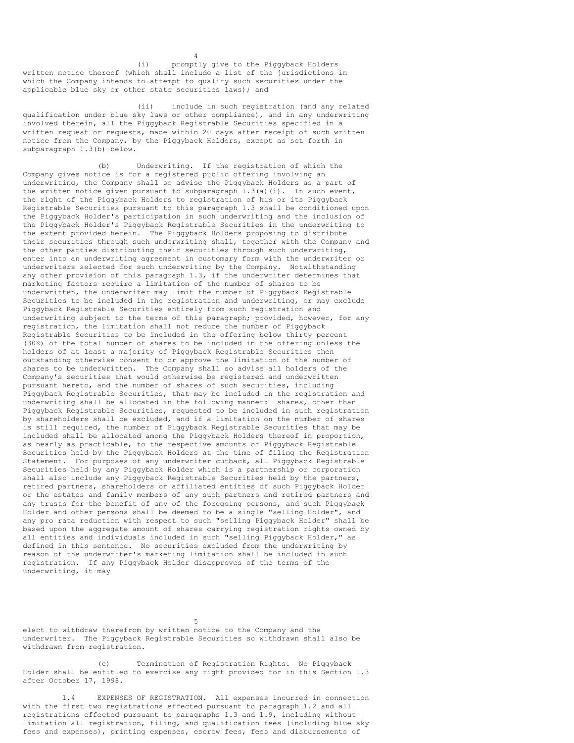(i) promptly give to the Piggyback Holders written notice thereof (which shall include a list of the jurisdictions in which the Company intends to attempt to qualify such securities under the applicable blue sky or other state securities laws); and

(ii) include in such registration (and any related qualification under blue sky laws or other compliance), and in any underwriting involved therein, all the Piggyback Registrable Securities specified in a written request or requests, made within 20 days after receipt of such written notice from the Company, by the Piggyback Holders, except as set forth in subparagraph 1.3(b) below.

4

(b) Underwriting. If the registration of which the Company gives notice is for a registered public offering involving an underwriting, the Company shall so advise the Piggyback Holders as a part of the written notice given pursuant to subparagraph  $1.3(a)(i)$ . In such event, the right of the Piggyback Holders to registration of his or its Piggyback Registrable Securities pursuant to this paragraph 1.3 shall be conditioned upon the Piggyback Holder's participation in such underwriting and the inclusion of the Piggyback Holder's Piggyback Registrable Securities in the underwriting to the extent provided herein. The Piggyback Holders proposing to distribute their securities through such underwriting shall, together with the Company and the other parties distributing their securities through such underwriting, enter into an underwriting agreement in customary form with the underwriter or underwriters selected for such underwriting by the Company. Notwithstanding any other provision of this paragraph 1.3, if the underwriter determines that marketing factors require a limitation of the number of shares to be underwritten, the underwriter may limit the number of Piggyback Registrable Securities to be included in the registration and underwriting, or may exclude Piggyback Registrable Securities entirely from such registration and underwriting subject to the terms of this paragraph; provided, however, for any registration, the limitation shall not reduce the number of Piggyback Registrable Securities to be included in the offering below thirty percent (30%) of the total number of shares to be included in the offering unless the holders of at least a majority of Piggyback Registrable Securities then outstanding otherwise consent to or approve the limitation of the number of shares to be underwritten. The Company shall so advise all holders of the Company's securities that would otherwise be registered and underwritten pursuant hereto, and the number of shares of such securities, including Piggyback Registrable Securities, that may be included in the registration and underwriting shall be allocated in the following manner: shares, other than Piggyback Registrable Securities, requested to be included in such registration by shareholders shall be excluded, and if a limitation on the number of shares is still required, the number of Piggyback Registrable Securities that may be included shall be allocated among the Piggyback Holders thereof in proportion, as nearly as practicable, to the respective amounts of Piggyback Registrable Securities held by the Piggyback Holders at the time of filing the Registration Statement. For purposes of any underwriter cutback, all Piggyback Registrable Securities held by any Piggyback Holder which is a partnership or corporation shall also include any Piggyback Registrable Securities held by the partners, retired partners, shareholders or affiliated entities of such Piggyback Holder or the estates and family members of any such partners and retired partners and any trusts for the benefit of any of the foregoing persons, and such Piggyback Holder and other persons shall be deemed to be a single "selling Holder", and any pro rata reduction with respect to such "selling Piggyback Holder" shall be based upon the aggregate amount of shares carrying registration rights owned by all entities and individuals included in such "selling Piggyback Holder," as defined in this sentence. No securities excluded from the underwriting by reason of the underwriter's marketing limitation shall be included in such registration. If any Piggyback Holder disapproves of the terms of the underwriting, it may

5

elect to withdraw therefrom by written notice to the Company and the underwriter. The Piggyback Registrable Securities so withdrawn shall also be withdrawn from registration.

(c) Termination of Registration Rights. No Piggyback Holder shall be entitled to exercise any right provided for in this Section 1.3 after October 17, 1998.

1.4 EXPENSES OF REGISTRATION. All expenses incurred in connection with the first two registrations effected pursuant to paragraph 1.2 and all registrations effected pursuant to paragraphs 1.3 and 1.9, including without limitation all registration, filing, and qualification fees (including blue sky fees and expenses), printing expenses, escrow fees, fees and disbursements of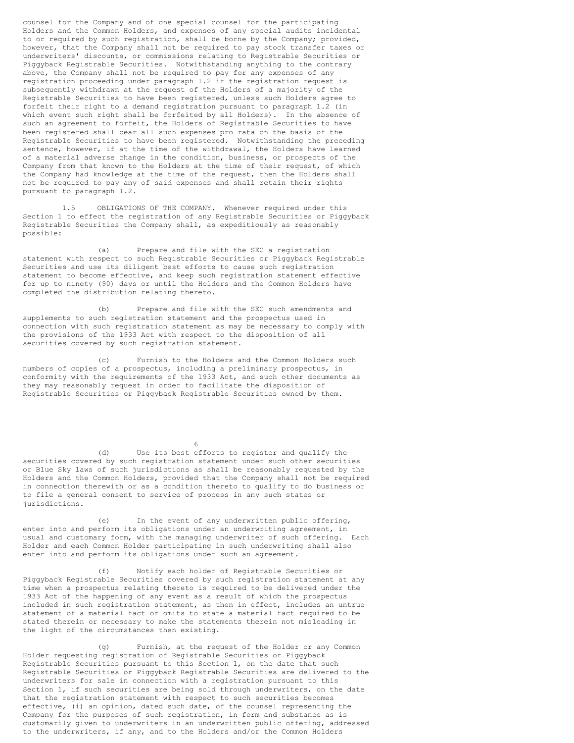counsel for the Company and of one special counsel for the participating Holders and the Common Holders, and expenses of any special audits incidental to or required by such registration, shall be borne by the Company; provided, however, that the Company shall not be required to pay stock transfer taxes or underwriters' discounts, or commissions relating to Registrable Securities or Piggyback Registrable Securities. Notwithstanding anything to the contrary above, the Company shall not be required to pay for any expenses of any registration proceeding under paragraph 1.2 if the registration request is subsequently withdrawn at the request of the Holders of a majority of the Registrable Securities to have been registered, unless such Holders agree to forfeit their right to a demand registration pursuant to paragraph 1.2 (in which event such right shall be forfeited by all Holders). In the absence of such an agreement to forfeit, the Holders of Registrable Securities to have been registered shall bear all such expenses pro rata on the basis of the Registrable Securities to have been registered. Notwithstanding the preceding sentence, however, if at the time of the withdrawal, the Holders have learned of a material adverse change in the condition, business, or prospects of the Company from that known to the Holders at the time of their request, of which the Company had knowledge at the time of the request, then the Holders shall not be required to pay any of said expenses and shall retain their rights pursuant to paragraph 1.2.

1.5 OBLIGATIONS OF THE COMPANY. Whenever required under this Section 1 to effect the registration of any Registrable Securities or Piggyback Registrable Securities the Company shall, as expeditiously as reasonably possible:

(a) Prepare and file with the SEC a registration statement with respect to such Registrable Securities or Piggyback Registrable Securities and use its diligent best efforts to cause such registration statement to become effective, and keep such registration statement effective for up to ninety (90) days or until the Holders and the Common Holders have completed the distribution relating thereto.

(b) Prepare and file with the SEC such amendments and supplements to such registration statement and the prospectus used in connection with such registration statement as may be necessary to comply with the provisions of the 1933 Act with respect to the disposition of all securities covered by such registration statement.

(c) Furnish to the Holders and the Common Holders such numbers of copies of a prospectus, including a preliminary prospectus, in conformity with the requirements of the 1933 Act, and such other documents as they may reasonably request in order to facilitate the disposition of Registrable Securities or Piggyback Registrable Securities owned by them.

6

(d) Use its best efforts to register and qualify the securities covered by such registration statement under such other securities or Blue Sky laws of such jurisdictions as shall be reasonably requested by the Holders and the Common Holders, provided that the Company shall not be required in connection therewith or as a condition thereto to qualify to do business or to file a general consent to service of process in any such states or jurisdictions.

(e) In the event of any underwritten public offering, enter into and perform its obligations under an underwriting agreement, in usual and customary form, with the managing underwriter of such offering. Each Holder and each Common Holder participating in such underwriting shall also enter into and perform its obligations under such an agreement.

(f) Notify each holder of Registrable Securities or Piggyback Registrable Securities covered by such registration statement at any time when a prospectus relating thereto is required to be delivered under the 1933 Act of the happening of any event as a result of which the prospectus included in such registration statement, as then in effect, includes an untrue statement of a material fact or omits to state a material fact required to be stated therein or necessary to make the statements therein not misleading in the light of the circumstances then existing.

(g) Furnish, at the request of the Holder or any Common Holder requesting registration of Registrable Securities or Piggyback Registrable Securities pursuant to this Section 1, on the date that such Registrable Securities or Piggyback Registrable Securities are delivered to the underwriters for sale in connection with a registration pursuant to this Section 1, if such securities are being sold through underwriters, on the date that the registration statement with respect to such securities becomes effective, (i) an opinion, dated such date, of the counsel representing the Company for the purposes of such registration, in form and substance as is customarily given to underwriters in an underwritten public offering, addressed to the underwriters, if any, and to the Holders and/or the Common Holders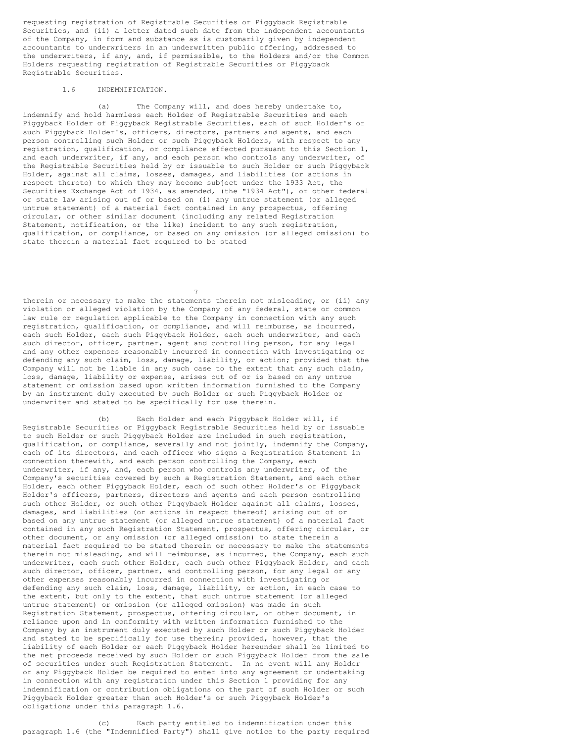requesting registration of Registrable Securities or Piggyback Registrable Securities, and (ii) a letter dated such date from the independent accountants of the Company, in form and substance as is customarily given by independent accountants to underwriters in an underwritten public offering, addressed to the underwriters, if any, and, if permissible, to the Holders and/or the Common Holders requesting registration of Registrable Securities or Piggyback Registrable Securities.

#### 1.6 INDEMNIFICATION.

(a) The Company will, and does hereby undertake to, indemnify and hold harmless each Holder of Registrable Securities and each Piggyback Holder of Piggyback Registrable Securities, each of such Holder's or such Piggyback Holder's, officers, directors, partners and agents, and each person controlling such Holder or such Piggyback Holders, with respect to any registration, qualification, or compliance effected pursuant to this Section 1, and each underwriter, if any, and each person who controls any underwriter, of the Registrable Securities held by or issuable to such Holder or such Piggyback Holder, against all claims, losses, damages, and liabilities (or actions in respect thereto) to which they may become subject under the 1933 Act, the Securities Exchange Act of 1934, as amended, (the "1934 Act"), or other federal or state law arising out of or based on (i) any untrue statement (or alleged untrue statement) of a material fact contained in any prospectus, offering circular, or other similar document (including any related Registration Statement, notification, or the like) incident to any such registration, qualification, or compliance, or based on any omission (or alleged omission) to state therein a material fact required to be stated

therein or necessary to make the statements therein not misleading, or (ii) any violation or alleged violation by the Company of any federal, state or common law rule or regulation applicable to the Company in connection with any such registration, qualification, or compliance, and will reimburse, as incurred, each such Holder, each such Piggyback Holder, each such underwriter, and each such director, officer, partner, agent and controlling person, for any legal and any other expenses reasonably incurred in connection with investigating or defending any such claim, loss, damage, liability, or action; provided that the Company will not be liable in any such case to the extent that any such claim, loss, damage, liability or expense, arises out of or is based on any untrue statement or omission based upon written information furnished to the Company by an instrument duly executed by such Holder or such Piggyback Holder or underwriter and stated to be specifically for use therein.

7

(b) Each Holder and each Piggyback Holder will, if Registrable Securities or Piggyback Registrable Securities held by or issuable to such Holder or such Piggyback Holder are included in such registration, qualification, or compliance, severally and not jointly, indemnify the Company, each of its directors, and each officer who signs a Registration Statement in connection therewith, and each person controlling the Company, each underwriter, if any, and, each person who controls any underwriter, of the Company's securities covered by such a Registration Statement, and each other Holder, each other Piggyback Holder, each of such other Holder's or Piggyback Holder's officers, partners, directors and agents and each person controlling such other Holder, or such other Piggyback Holder against all claims, losses, damages, and liabilities (or actions in respect thereof) arising out of or based on any untrue statement (or alleged untrue statement) of a material fact contained in any such Registration Statement, prospectus, offering circular, or other document, or any omission (or alleged omission) to state therein a material fact required to be stated therein or necessary to make the statements therein not misleading, and will reimburse, as incurred, the Company, each such underwriter, each such other Holder, each such other Piggyback Holder, and each such director, officer, partner, and controlling person, for any legal or any other expenses reasonably incurred in connection with investigating or defending any such claim, loss, damage, liability, or action, in each case to the extent, but only to the extent, that such untrue statement (or alleged untrue statement) or omission (or alleged omission) was made in such Registration Statement, prospectus, offering circular, or other document, in reliance upon and in conformity with written information furnished to the Company by an instrument duly executed by such Holder or such Piggyback Holder and stated to be specifically for use therein; provided, however, that the liability of each Holder or each Piggyback Holder hereunder shall be limited to the net proceeds received by such Holder or such Piggyback Holder from the sale of securities under such Registration Statement. In no event will any Holder or any Piggyback Holder be required to enter into any agreement or undertaking in connection with any registration under this Section 1 providing for any indemnification or contribution obligations on the part of such Holder or such Piggyback Holder greater than such Holder's or such Piggyback Holder's obligations under this paragraph 1.6.

(c) Each party entitled to indemnification under this paragraph 1.6 (the "Indemnified Party") shall give notice to the party required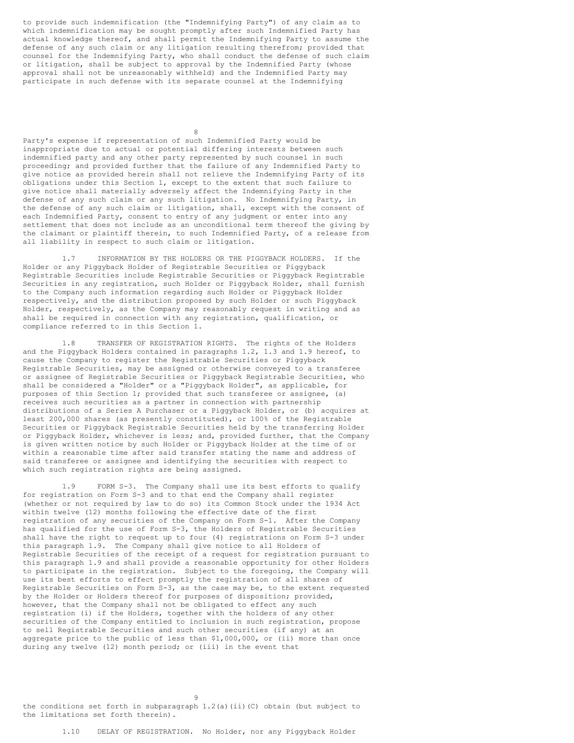to provide such indemnification (the "Indemnifying Party") of any claim as to which indemnification may be sought promptly after such Indemnified Party has actual knowledge thereof, and shall permit the Indemnifying Party to assume the defense of any such claim or any litigation resulting therefrom; provided that counsel for the Indemnifying Party, who shall conduct the defense of such claim or litigation, shall be subject to approval by the Indemnified Party (whose approval shall not be unreasonably withheld) and the Indemnified Party may participate in such defense with its separate counsel at the Indemnifying

8

Party's expense if representation of such Indemnified Party would be inappropriate due to actual or potential differing interests between such indemnified party and any other party represented by such counsel in such proceeding; and provided further that the failure of any Indemnified Party to give notice as provided herein shall not relieve the Indemnifying Party of its obligations under this Section 1, except to the extent that such failure to give notice shall materially adversely affect the Indemnifying Party in the defense of any such claim or any such litigation. No Indemnifying Party, in the defense of any such claim or litigation, shall, except with the consent of each Indemnified Party, consent to entry of any judgment or enter into any settlement that does not include as an unconditional term thereof the giving by the claimant or plaintiff therein, to such Indemnified Party, of a release from all liability in respect to such claim or litigation.

1.7 INFORMATION BY THE HOLDERS OR THE PIGGYBACK HOLDERS. If the Holder or any Piggyback Holder of Registrable Securities or Piggyback Registrable Securities include Registrable Securities or Piggyback Registrable Securities in any registration, such Holder or Piggyback Holder, shall furnish to the Company such information regarding such Holder or Piggyback Holder respectively, and the distribution proposed by such Holder or such Piggyback Holder, respectively, as the Company may reasonably request in writing and as shall be required in connection with any registration, qualification, or compliance referred to in this Section 1.

1.8 TRANSFER OF REGISTRATION RIGHTS. The rights of the Holders and the Piggyback Holders contained in paragraphs 1.2, 1.3 and 1.9 hereof, to cause the Company to register the Registrable Securities or Piggyback Registrable Securities, may be assigned or otherwise conveyed to a transferee or assignee of Registrable Securities or Piggyback Registrable Securities, who shall be considered a "Holder" or a "Piggyback Holder", as applicable, for purposes of this Section 1; provided that such transferee or assignee, (a) receives such securities as a partner in connection with partnership distributions of a Series A Purchaser or a Piggyback Holder, or (b) acquires at least 200,000 shares (as presently constituted), or 100% of the Registrable Securities or Piggyback Registrable Securities held by the transferring Holder or Piggyback Holder, whichever is less; and, provided further, that the Company is given written notice by such Holder or Piggyback Holder at the time of or within a reasonable time after said transfer stating the name and address of said transferee or assignee and identifying the securities with respect to which such registration rights are being assigned.

1.9 FORM S-3. The Company shall use its best efforts to qualify for registration on Form S-3 and to that end the Company shall register (whether or not required by law to do so) its Common Stock under the 1934 Act within twelve (12) months following the effective date of the first registration of any securities of the Company on Form S-1. After the Company has qualified for the use of Form S-3, the Holders of Registrable Securities shall have the right to request up to four (4) registrations on Form S-3 under this paragraph 1.9. The Company shall give notice to all Holders of Registrable Securities of the receipt of a request for registration pursuant to this paragraph 1.9 and shall provide a reasonable opportunity for other Holders to participate in the registration. Subject to the foregoing, the Company will use its best efforts to effect promptly the registration of all shares of Registrable Securities on Form S-3, as the case may be, to the extent requested by the Holder or Holders thereof for purposes of disposition; provided, however, that the Company shall not be obligated to effect any such registration (i) if the Holders, together with the holders of any other securities of the Company entitled to inclusion in such registration, propose to sell Registrable Securities and such other securities (if any) at an aggregate price to the public of less than \$1,000,000, or (ii) more than once during any twelve (12) month period; or (iii) in the event that

9 the conditions set forth in subparagraph  $1.2$  (a)(ii)(C) obtain (but subject to the limitations set forth therein).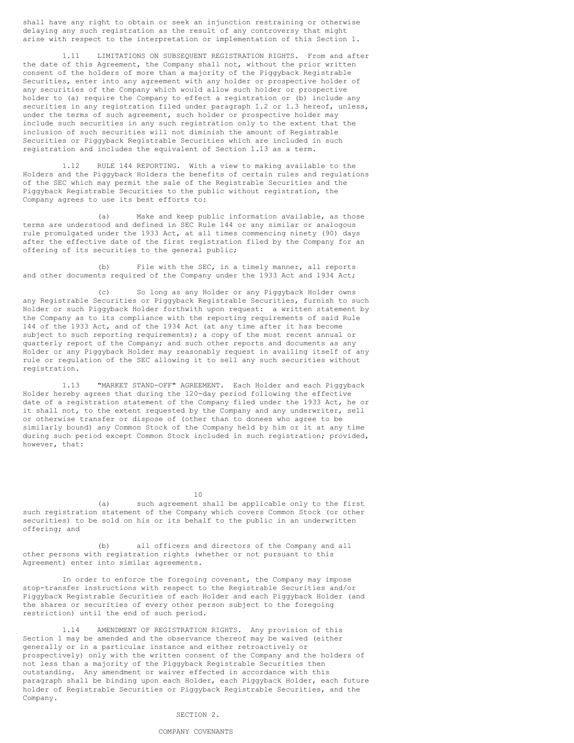shall have any right to obtain or seek an injunction restraining or otherwise delaying any such registration as the result of any controversy that might arise with respect to the interpretation or implementation of this Section 1.

1.11 LIMITATIONS ON SUBSEQUENT REGISTRATION RIGHTS. From and after the date of this Agreement, the Company shall not, without the prior written consent of the holders of more than a majority of the Piggyback Registrable Securities, enter into any agreement with any holder or prospective holder of any securities of the Company which would allow such holder or prospective holder to (a) require the Company to effect a registration or (b) include any securities in any registration filed under paragraph 1.2 or 1.3 hereof, unless, under the terms of such agreement, such holder or prospective holder may include such securities in any such registration only to the extent that the inclusion of such securities will not diminish the amount of Registrable Securities or Piggyback Registrable Securities which are included in such registration and includes the equivalent of Section 1.13 as a term.

1.12 RULE 144 REPORTING. With a view to making available to the Holders and the Piggyback Holders the benefits of certain rules and regulations of the SEC which may permit the sale of the Registrable Securities and the Piggyback Registrable Securities to the public without registration, the Company agrees to use its best efforts to:

(a) Make and keep public information available, as those terms are understood and defined in SEC Rule 144 or any similar or analogous rule promulgated under the 1933 Act, at all times commencing ninety (90) days after the effective date of the first registration filed by the Company for an offering of its securities to the general public;

(b) File with the SEC, in a timely manner, all reports and other documents required of the Company under the 1933 Act and 1934 Act;

(c) So long as any Holder or any Piggyback Holder owns any Registrable Securities or Piggyback Registrable Securities, furnish to such Holder or such Piggyback Holder forthwith upon request: a written statement by the Company as to its compliance with the reporting requirements of said Rule 144 of the 1933 Act, and of the 1934 Act (at any time after it has become subject to such reporting requirements); a copy of the most recent annual or quarterly report of the Company; and such other reports and documents as any Holder or any Piggyback Holder may reasonably request in availing itself of any rule or regulation of the SEC allowing it to sell any such securities without registration.

1.13 "MARKET STAND-OFF" AGREEMENT. Each Holder and each Piggyback Holder hereby agrees that during the 120-day period following the effective date of a registration statement of the Company filed under the 1933 Act, he or it shall not, to the extent requested by the Company and any underwriter, sell or otherwise transfer or dispose of (other than to donees who agree to be similarly bound) any Common Stock of the Company held by him or it at any time during such period except Common Stock included in such registration; provided, however, that:

10

(a) such agreement shall be applicable only to the first such registration statement of the Company which covers Common Stock (or other securities) to be sold on his or its behalf to the public in an underwritten offering; and

(b) all officers and directors of the Company and all other persons with registration rights (whether or not pursuant to this Agreement) enter into similar agreements.

In order to enforce the foregoing covenant, the Company may impose stop-transfer instructions with respect to the Registrable Securities and/or Piggyback Registrable Securities of each Holder and each Piggyback Holder (and the shares or securities of every other person subject to the foregoing restriction) until the end of such period.

1.14 AMENDMENT OF REGISTRATION RIGHTS. Any provision of this Section 1 may be amended and the observance thereof may be waived (either generally or in a particular instance and either retroactively or prospectively) only with the written consent of the Company and the holders of not less than a majority of the Piggyback Registrable Securities then outstanding. Any amendment or waiver effected in accordance with this paragraph shall be binding upon each Holder, each Piggyback Holder, each future holder of Registrable Securities or Piggyback Registrable Securities, and the Company.

### SECTION<sub>2</sub>

#### COMPANY COVENANTS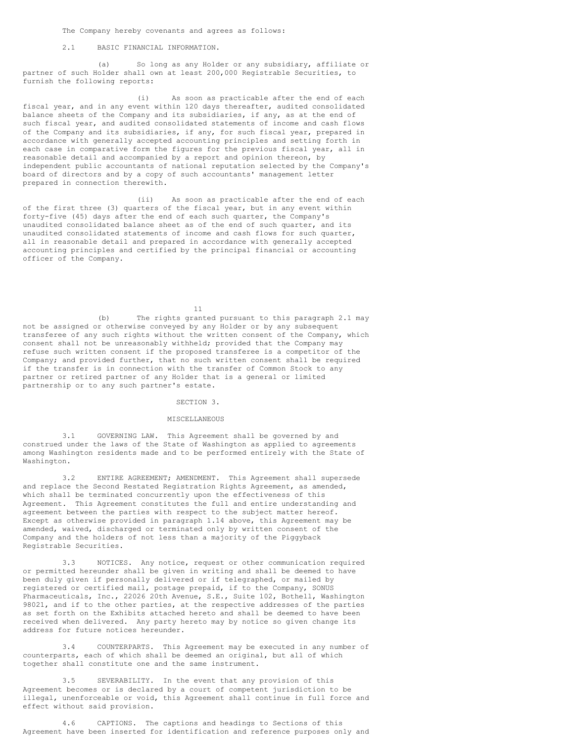The Company hereby covenants and agrees as follows:

### 2.1 BASIC FINANCIAL INFORMATION.

(a) So long as any Holder or any subsidiary, affiliate or partner of such Holder shall own at least 200,000 Registrable Securities, to furnish the following reports:

(i) As soon as practicable after the end of each fiscal year, and in any event within 120 days thereafter, audited consolidated balance sheets of the Company and its subsidiaries, if any, as at the end of such fiscal year, and audited consolidated statements of income and cash flows of the Company and its subsidiaries, if any, for such fiscal year, prepared in accordance with generally accepted accounting principles and setting forth in each case in comparative form the figures for the previous fiscal year, all in reasonable detail and accompanied by a report and opinion thereon, by independent public accountants of national reputation selected by the Company's board of directors and by a copy of such accountants' management letter prepared in connection therewith.

(ii) As soon as practicable after the end of each of the first three (3) quarters of the fiscal year, but in any event within forty-five (45) days after the end of each such quarter, the Company's unaudited consolidated balance sheet as of the end of such quarter, and its unaudited consolidated statements of income and cash flows for such quarter, all in reasonable detail and prepared in accordance with generally accepted accounting principles and certified by the principal financial or accounting officer of the Company.

11

(b) The rights granted pursuant to this paragraph 2.1 may not be assigned or otherwise conveyed by any Holder or by any subsequent transferee of any such rights without the written consent of the Company, which consent shall not be unreasonably withheld; provided that the Company may refuse such written consent if the proposed transferee is a competitor of the Company; and provided further, that no such written consent shall be required if the transfer is in connection with the transfer of Common Stock to any partner or retired partner of any Holder that is a general or limited partnership or to any such partner's estate.

#### SECTION 3.

#### MISCELLANEOUS

3.1 GOVERNING LAW. This Agreement shall be governed by and construed under the laws of the State of Washington as applied to agreements among Washington residents made and to be performed entirely with the State of Washington.

3.2 ENTIRE AGREEMENT; AMENDMENT. This Agreement shall supersede and replace the Second Restated Registration Rights Agreement, as amended, which shall be terminated concurrently upon the effectiveness of this Agreement. This Agreement constitutes the full and entire understanding and agreement between the parties with respect to the subject matter hereof. Except as otherwise provided in paragraph 1.14 above, this Agreement may be amended, waived, discharged or terminated only by written consent of the Company and the holders of not less than a majority of the Piggyback Registrable Securities.

3.3 NOTICES. Any notice, request or other communication required or permitted hereunder shall be given in writing and shall be deemed to have been duly given if personally delivered or if telegraphed, or mailed by registered or certified mail, postage prepaid, if to the Company, SONUS Pharmaceuticals, Inc., 22026 20th Avenue, S.E., Suite 102, Bothell, Washington 98021, and if to the other parties, at the respective addresses of the parties as set forth on the Exhibits attached hereto and shall be deemed to have been received when delivered. Any party hereto may by notice so given change its address for future notices hereunder.

3.4 COUNTERPARTS. This Agreement may be executed in any number of counterparts, each of which shall be deemed an original, but all of which together shall constitute one and the same instrument.

3.5 SEVERABILITY. In the event that any provision of this Agreement becomes or is declared by a court of competent jurisdiction to be illegal, unenforceable or void, this Agreement shall continue in full force and effect without said provision.

4.6 CAPTIONS. The captions and headings to Sections of this Agreement have been inserted for identification and reference purposes only and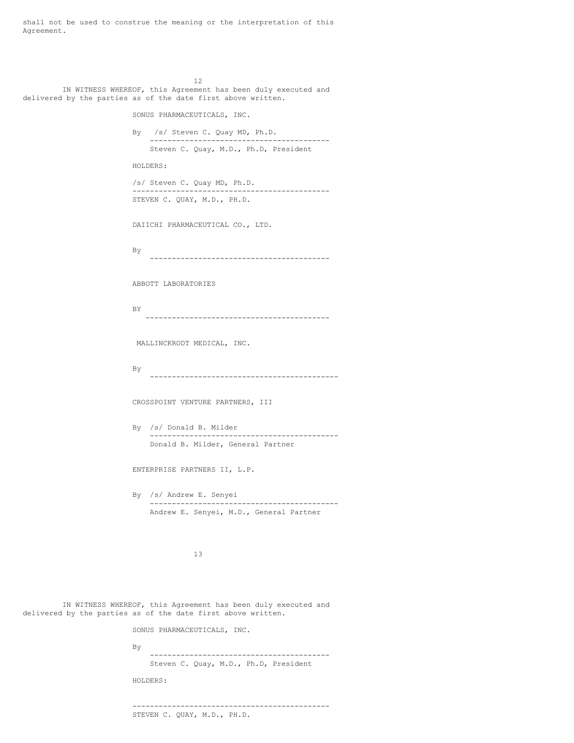shall not be used to construe the meaning or the interpretation of this Agreement.

12 IN WITNESS WHEREOF, this Agreement has been duly executed and delivered by the parties as of the date first above written.

SONUS PHARMACEUTICALS, INC.

By /s/ Steven C. Quay MD, Ph.D. ----------------------------------------- Steven C. Quay, M.D., Ph.D, President HOLDERS: /s/ Steven C. Quay MD, Ph.D. --------------------------------------------- STEVEN C. QUAY, M.D., PH.D.

DAIICHI PHARMACEUTICAL CO., LTD.

By -----------------------------------------

ABBOTT LABORATORIES

BY ------------------------------------------

MALLINCKRODT MEDICAL, INC.

By -------------------------------------------

CROSSPOINT VENTURE PARTNERS, III

By /s/ Donald B. Milder ------------------------------------------- Donald B. Milder, General Partner

ENTERPRISE PARTNERS II, L.P.

By /s/ Andrew E. Senyei ------------------------------------------- Andrew E. Senyei, M.D., General Partner

13

IN WITNESS WHEREOF, this Agreement has been duly executed and delivered by the parties as of the date first above written.

SONUS PHARMACEUTICALS, INC.

| Bv |                             |  |  |                                       |
|----|-----------------------------|--|--|---------------------------------------|
|    |                             |  |  | Steven C. Quay, M.D., Ph.D, President |
|    | HOLDERS:                    |  |  |                                       |
|    |                             |  |  |                                       |
|    | STEVEN C. QUAY, M.D., PH.D. |  |  |                                       |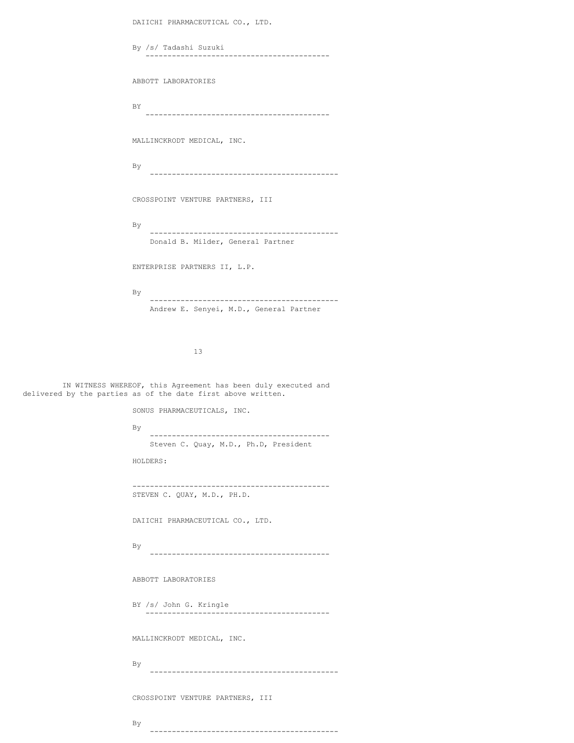DAIICHI PHARMACEUTICAL CO., LTD. By /s/ Tadashi Suzuki ------------------------------------------ ABBOTT LABORATORIES BY ------------------------------------------ MALLINCKRODT MEDICAL, INC. By ------------------------------------------- CROSSPOINT VENTURE PARTNERS, III By ------------------------------------------- Donald B. Milder, General Partner ENTERPRISE PARTNERS II, L.P. By ------------------------------------------- Andrew E. Senyei, M.D., General Partner 13 IN WITNESS WHEREOF, this Agreement has been duly executed and delivered by the parties as of the date first above written. SONUS PHARMACEUTICALS, INC. By ----------------------------------------- Steven C. Quay, M.D., Ph.D, President HOLDERS: --------------------------------------------- STEVEN C. QUAY, M.D., PH.D. DAIICHI PHARMACEUTICAL CO., LTD. By

-----------------------------------------

ABBOTT LABORATORIES

BY /s/ John G. Kringle ------------------------------------------

MALLINCKRODT MEDICAL, INC.

By -------------------------------------------

-------------------------------------------

CROSSPOINT VENTURE PARTNERS, III

By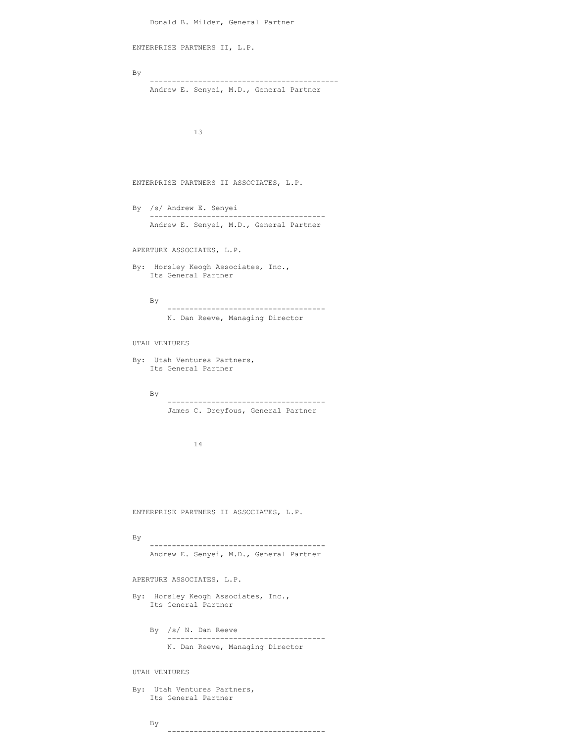```
Donald B. Milder, General Partner
ENTERPRISE PARTNERS II, L.P.
By
    -------------------------------------------
    Andrew E. Senyei, M.D., General Partner
              13
ENTERPRISE PARTNERS II ASSOCIATES, L.P.
By /s/ Andrew E. Senyei
     ----------------------------------------
    Andrew E. Senyei, M.D., General Partner
APERTURE ASSOCIATES, L.P.
By: Horsley Keogh Associates, Inc.,
    Its General Partner
    By
        ------------------------------------
        N. Dan Reeve, Managing Director
UTAH VENTURES
By: Utah Ventures Partners,
   Its General Partner
    By
          ------------------------------------
        James C. Dreyfous, General Partner
              14
ENTERPRISE PARTNERS II ASSOCIATES, L.P.
By
    ----------------------------------------
    Andrew E. Senyei, M.D., General Partner
APERTURE ASSOCIATES, L.P.
By: Horsley Keogh Associates, Inc.,
   Its General Partner
    By /s/ N. Dan Reeve
         ------------------------------------
        N. Dan Reeve, Managing Director
UTAH VENTURES
By: Utah Ventures Partners,
    Its General Partner
```
------------------------------------

By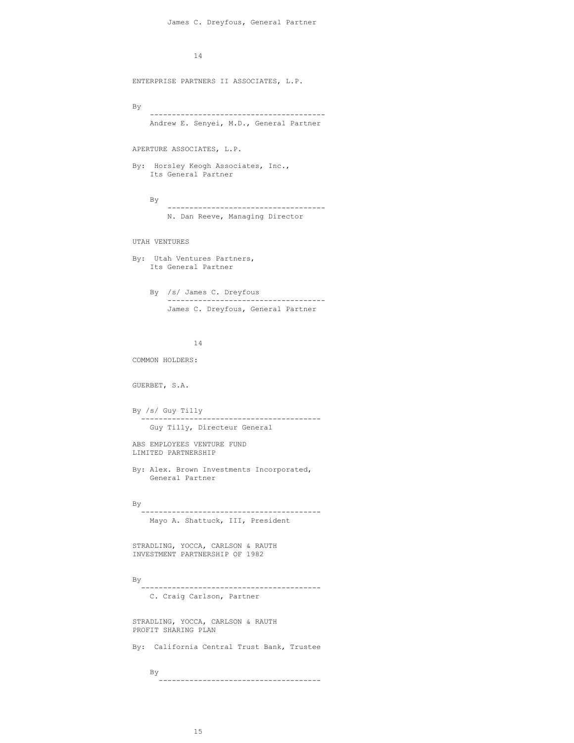14

ENTERPRISE PARTNERS II ASSOCIATES, L.P.

By

---------------------------------------- Andrew E. Senyei, M.D., General Partner

APERTURE ASSOCIATES, L.P.

By: Horsley Keogh Associates, Inc., Its General Partner

By ------------------------------------ N. Dan Reeve, Managing Director

UTAH VENTURES

```
By: Utah Ventures Partners,
   Its General Partner
```
By /s/ James C. Dreyfous ------------------------------------ James C. Dreyfous, General Partner

14

COMMON HOLDERS:

GUERBET, S.A.

```
By /s/ Guy Tilly
 -----------------------------------------
  Guy Tilly, Directeur General
```
ABS EMPLOYEES VENTURE FUND LIMITED PARTNERSHIP

By: Alex. Brown Investments Incorporated, General Partner

By

```
-----------------------------------------
 Mayo A. Shattuck, III, President
```
STRADLING, YOCCA, CARLSON & RAUTH INVESTMENT PARTNERSHIP OF 1982

By

```
-----------------------------------------
C. Craig Carlson, Partner
```
STRADLING, YOCCA, CARLSON & RAUTH PROFIT SHARING PLAN

By: California Central Trust Bank, Trustee

By -------------------------------------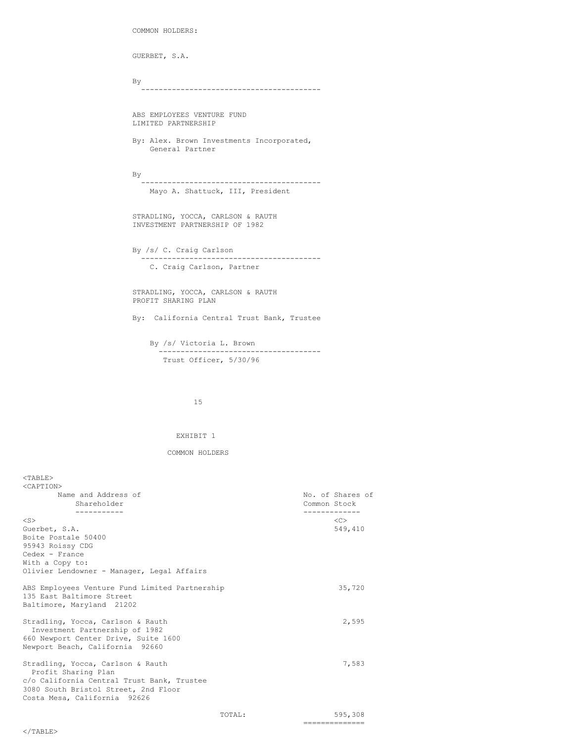```
COMMON HOLDERS:
GUERBET, S.A.
By
  -----------------------------------------
ABS EMPLOYEES VENTURE FUND
LIMITED PARTNERSHIP
By: Alex. Brown Investments Incorporated,
   General Partner
By
  -----------------------------------------
   Mayo A. Shattuck, III, President
STRADLING, YOCCA, CARLSON & RAUTH
INVESTMENT PARTNERSHIP OF 1982
By /s/ C. Craig Carlson
  -----------------------------------------
  C. Craig Carlson, Partner
STRADLING, YOCCA, CARLSON & RAUTH
PROFIT SHARING PLAN
By: California Central Trust Bank, Trustee
   By /s/ Victoria L. Brown
       -------------------------------------
      Trust Officer, 5/30/96
```
15

#### EXHIBIT 1

## COMMON HOLDERS

| $<$ TABLE>                                     |        |                  |
|------------------------------------------------|--------|------------------|
| <caption></caption>                            |        |                  |
| Name and Address of                            |        | No. of Shares of |
| Shareholder                                    |        | Common Stock     |
| .                                              |        | --------         |
| $<$ S $>$                                      |        | < <sub></sub>    |
| Guerbet, S.A.                                  |        | 549,410          |
| Boite Postale 50400                            |        |                  |
| 95943 Roissy CDG                               |        |                  |
| Cedex - France                                 |        |                  |
| With a Copy to:                                |        |                  |
| Olivier Lendowner - Manager, Legal Affairs     |        |                  |
|                                                |        |                  |
| ABS Employees Venture Fund Limited Partnership |        | 35,720           |
| 135 East Baltimore Street                      |        |                  |
| Baltimore, Maryland 21202                      |        |                  |
|                                                |        |                  |
| Stradling, Yocca, Carlson & Rauth              |        | 2,595            |
| Investment Partnership of 1982                 |        |                  |
| 660 Newport Center Drive, Suite 1600           |        |                  |
| Newport Beach, California 92660                |        |                  |
|                                                |        |                  |
| Stradling, Yocca, Carlson & Rauth              |        | 7,583            |
| Profit Sharing Plan                            |        |                  |
| c/o California Central Trust Bank, Trustee     |        |                  |
| 3080 South Bristol Street, 2nd Floor           |        |                  |
| Costa Mesa, California 92626                   |        |                  |
|                                                |        |                  |
|                                                | TOTAL: | 595,308          |
|                                                |        | ===============  |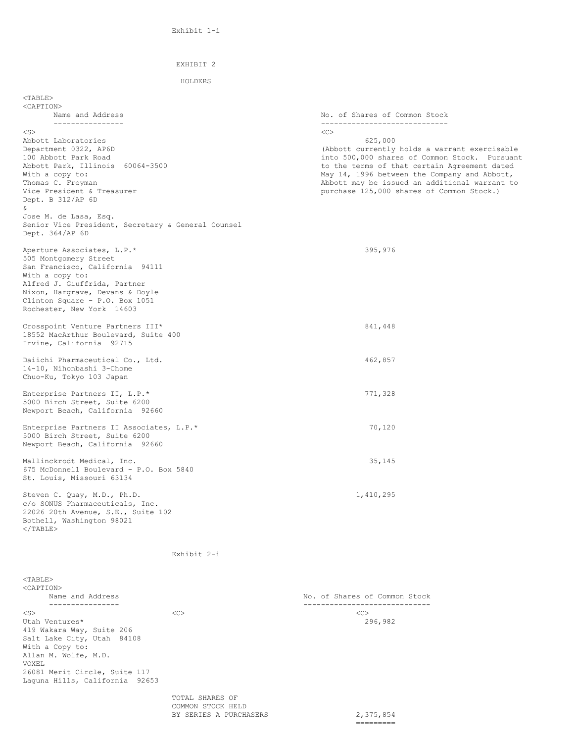```
EXHIBIT 2
HOLDERS
```
 $<$ TABLE> <CAPTION> Name and Address No. of Shares of Common Stock ---------------- -----------------------------  $\langle$ S>  $\langle$ C> Abbott Laboratories 625,000<br>Department 0322, AP6D (Abbott currently (Abbott currently holds a warrant exercisable 100 Abbott Park Road into 500,000 shares of Common Stock. Pursuant Abbott Park, Illinois 60064-3500 to the terms of that certain Agreement dated<br>With a copy to: the terms of that certain Agreement dated<br>May 14, 1996 between the Company and Abbott, May 14, 1996 between the Company and Abbott, Thomas C. Freyman C. Thomas C. Freyman C. Thomas C. Thomas C. Thomas C. The Muslim Common Stock. The Vice President & Treasurer C. The Muslim C. The Muslim C. The Muslim C. The Muslim C. The Muslim C. The Muslim C. The Mus purchase 125,000 shares of Common Stock.) Dept. B 312/AP 6D & Jose M. de Lasa, Esq. Senior Vice President, Secretary & General Counsel Dept. 364/AP 6D Aperture Associates, L.P.\* 395,976 505 Montgomery Street San Francisco, California 94111 With a copy to: Alfred J. Giuffrida, Partner Nixon, Hargrave, Devans & Doyle Clinton Square - P.O. Box 1051 Rochester, New York 14603 Crosspoint Venture Partners III\* 841,448 18552 MacArthur Boulevard, Suite 400 Irvine, California 92715 Daiichi Pharmaceutical Co., Ltd. 462,857 14-10, Nihonbashi 3-Chome Chuo-Ku, Tokyo 103 Japan Enterprise Partners II, L.P.\* 771,328 5000 Birch Street, Suite 6200 Newport Beach, California 92660 Enterprise Partners II Associates, L.P.\* 70,120 5000 Birch Street, Suite 6200 Newport Beach, California 92660 Mallinckrodt Medical, Inc. 35,145 675 McDonnell Boulevard - P.O. Box 5840 St. Louis, Missouri 63134 Steven C. Quay, M.D., Ph.D. 1,410,295 c/o SONUS Pharmaceuticals, Inc. 22026 20th Avenue, S.E., Suite 102 Bothell, Washington 98021  $\langle$ /TABLE> Exhibit 2-i <TABLE> <CAPTION> Name and Address **No. of Shares of Common Stock** ---------------- ----------------------------- <S> <C> <C> Utah Ventures\* 296,982 419 Wakara Way, Suite 206 Salt Lake City, Utah 84108 With a Copy to: Allan M. Wolfe, M.D.

VOXEL

26081 Merit Circle, Suite 117 Laguna Hills, California 92653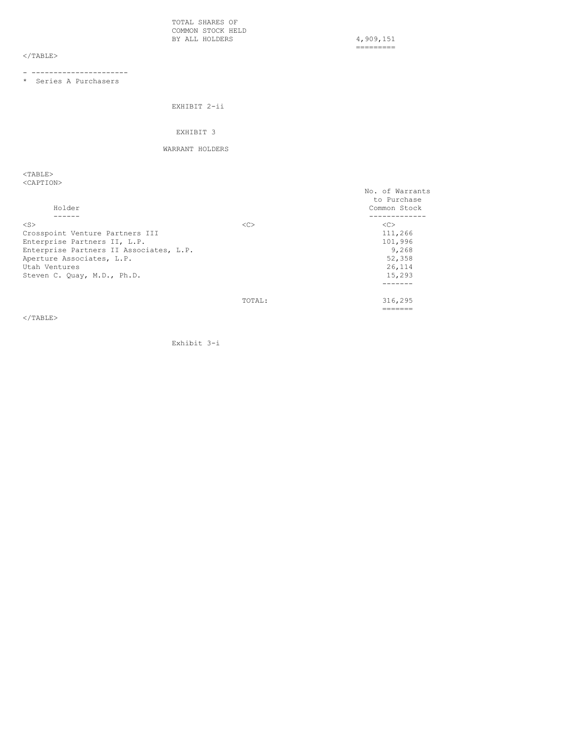TOTAL SHARES OF COMMON STOCK HELD BY ALL HOLDERS 4,909,151

=========

# $\rm <$  /TABLE>

- ----------------------

\* Series A Purchasers

EXHIBIT 2-ii

### EXHIBIT 3

# WARRANT HOLDERS

<TABLE> <CAPTION>

| Holder                                  |               | No. of Warrants<br>to Purchase<br>Common Stock |
|-----------------------------------------|---------------|------------------------------------------------|
| $<$ S $>$                               | < <sub></sub> | < <sub></sub>                                  |
| Crosspoint Venture Partners III         |               | 111,266                                        |
| Enterprise Partners II, L.P.            |               | 101,996                                        |
| Enterprise Partners II Associates, L.P. |               | 9,268                                          |
| Aperture Associates, L.P.               |               | 52,358                                         |
| Utah Ventures                           |               | 26,114                                         |
| Steven C. Quay, M.D., Ph.D.             |               | 15,293                                         |
|                                         |               |                                                |
|                                         | TOTAL:        | 316,295                                        |
|                                         |               | ------                                         |

</TABLE>

Exhibit 3-i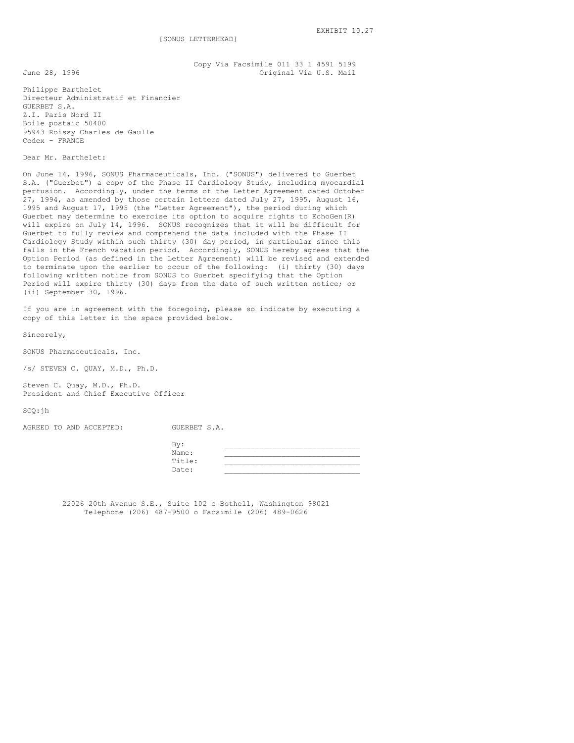Copy Via Facsimile 011 33 1 4591 5199 June 28, 1996 **Communist Communist Communist Communist Communist Communist Communist Communist Communist Communist Communist Communist Communist Communist Communist Communist Communist Communist Communist Communist Communi** 

Philippe Barthelet Directeur Administratif et Financier GUERBET S.A. Z.I. Paris Nord II Boile postaic 50400 95943 Roissy Charles de Gaulle Cedex - FRANCE

Dear Mr. Barthelet:

On June 14, 1996, SONUS Pharmaceuticals, Inc. ("SONUS") delivered to Guerbet S.A. ("Guerbet") a copy of the Phase II Cardiology Study, including myocardial perfusion. Accordingly, under the terms of the Letter Agreement dated October 27, 1994, as amended by those certain letters dated July 27, 1995, August 16, 1995 and August 17, 1995 (the "Letter Agreement"), the period during which Guerbet may determine to exercise its option to acquire rights to EchoGen(R) will expire on July 14, 1996. SONUS recognizes that it will be difficult for Guerbet to fully review and comprehend the data included with the Phase II Cardiology Study within such thirty (30) day period, in particular since this falls in the French vacation period. Accordingly, SONUS hereby agrees that the Option Period (as defined in the Letter Agreement) will be revised and extended to terminate upon the earlier to occur of the following: (i) thirty (30) days following written notice from SONUS to Guerbet specifying that the Option Period will expire thirty (30) days from the date of such written notice; or (ii) September 30, 1996.

If you are in agreement with the foregoing, please so indicate by executing a copy of this letter in the space provided below.

Sincerely,

SONUS Pharmaceuticals, Inc.

/s/ STEVEN C. QUAY, M.D., Ph.D.

Steven C. Quay, M.D., Ph.D. President and Chief Executive Officer

SCQ:jh

AGREED TO AND ACCEPTED: GUERBET S.A.

| Bv:    |  |
|--------|--|
| Name:  |  |
| Title: |  |
| Date:  |  |

22026 20th Avenue S.E., Suite 102 o Bothell, Washington 98021 Telephone (206) 487-9500 o Facsimile (206) 489-0626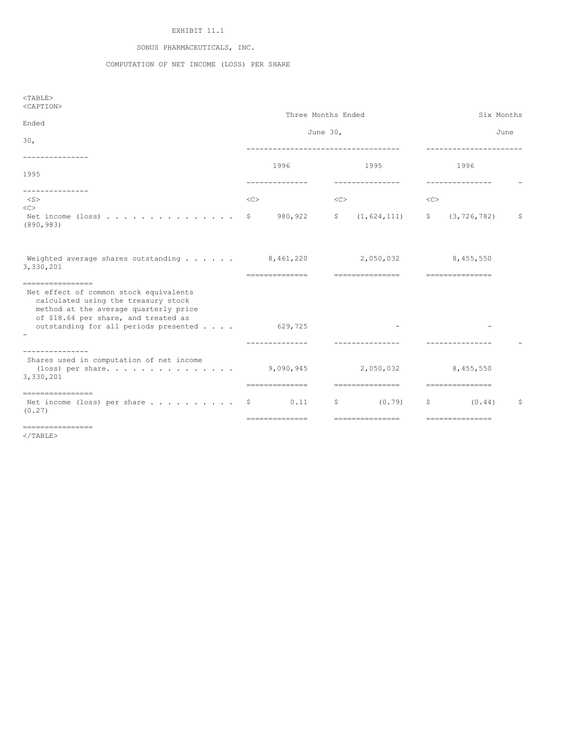# EXHIBIT 11.1

# SONUS PHARMACEUTICALS, INC.

# COMPUTATION OF NET INCOME (LOSS) PER SHARE

| $<$ TABLE><br><caption><br/>Ended</caption>                                                                                                                                                                                         | Three Months Ended<br>June 30, | Six Months<br>June                           |                                            |    |
|-------------------------------------------------------------------------------------------------------------------------------------------------------------------------------------------------------------------------------------|--------------------------------|----------------------------------------------|--------------------------------------------|----|
| 30 <sub>1</sub><br>. <u>.</u> .                                                                                                                                                                                                     | 1996                           | ------------------------------------<br>1995 | -----------------------<br>1996            |    |
| 1995<br>---------------<br>$<$ S $>$<br><<                                                                                                                                                                                          | --------------<br><<           | ---------------<br><<                        | ---------------<br><<                      |    |
| Net income $(\text{loss})$<br>(890, 983)                                                                                                                                                                                            | 980,922<br>-S                  | (1, 624, 111)<br>S                           | (3, 726, 782)<br>$\mathsf{S}$              | \$ |
| Weighted average shares outstanding $\ldots$ 8,461,220<br>3,330,201                                                                                                                                                                 | ---------------                | 2,050,032<br>----------------                | 8,455,550<br>----------------              |    |
| ----------------<br>Net effect of common stock equivalents<br>calculated using the treasury stock<br>method at the average quarterly price<br>of \$18.64 per share, and treated as<br>outstanding for all periods presented 629,725 | --------------                 |                                              |                                            |    |
| --------------<br>Shares used in computation of net income<br>(loss) per share 9,090,945<br>3,330,201                                                                                                                               | ===============                | 2,050,032<br>----------------                | 8,455,550<br>================              |    |
| -----------------<br>Net income (loss) per share $\dots \dots \dots$<br>(0.27)<br>-----------------                                                                                                                                 | 0.11<br>===============        | $\mathsf{S}$<br>(0.79)<br>================   | $\mathsf{S}$<br>(0.44)<br>================ | \$ |

 $<$ /TABLE>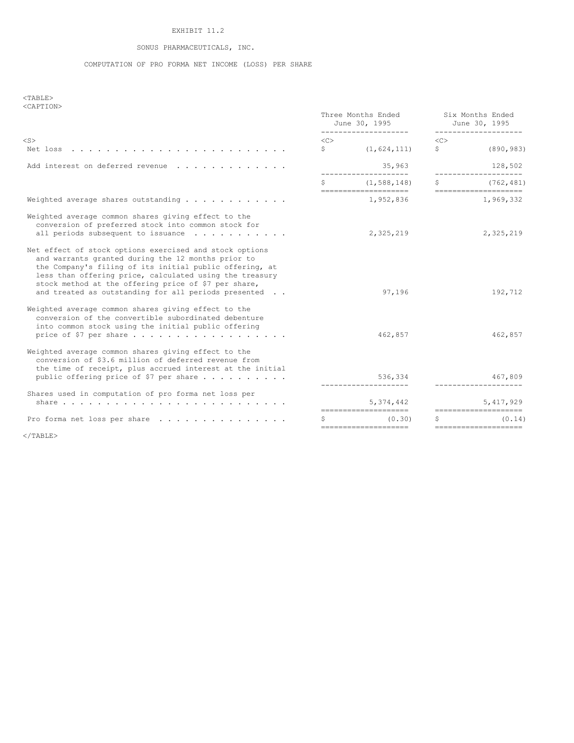# EXHIBIT 11.2

# SONUS PHARMACEUTICALS, INC.

# COMPUTATION OF PRO FORMA NET INCOME (LOSS) PER SHARE

 $<$ TABLE $>$ <CAPTION>

|                                                                                                                                                                                                                                                                                                                                                     |                    | Three Months Ended<br>June 30, 1995<br>____________________ |                      | Six Months Ended<br>June 30, 1995<br>_________________ |  |
|-----------------------------------------------------------------------------------------------------------------------------------------------------------------------------------------------------------------------------------------------------------------------------------------------------------------------------------------------------|--------------------|-------------------------------------------------------------|----------------------|--------------------------------------------------------|--|
| $<$ S $>$                                                                                                                                                                                                                                                                                                                                           | <<<br>$\mathsf{S}$ | (1, 624, 111)                                               | < <sub><br/>\$</sub> | (890, 983)                                             |  |
| Add interest on deferred revenue                                                                                                                                                                                                                                                                                                                    |                    | 35,963                                                      |                      | 128,502                                                |  |
|                                                                                                                                                                                                                                                                                                                                                     | Ŝ                  | (1, 588, 148)<br>====================                       | S.                   | (762, 481)<br>====================                     |  |
| Weighted average shares outstanding $\cdots$ ,                                                                                                                                                                                                                                                                                                      |                    | 1,952,836                                                   |                      | 1,969,332                                              |  |
| Weighted average common shares giving effect to the<br>conversion of preferred stock into common stock for<br>all periods subsequent to issuance $\cdots$                                                                                                                                                                                           |                    | 2,325,219                                                   |                      | 2,325,219                                              |  |
| Net effect of stock options exercised and stock options<br>and warrants granted during the 12 months prior to<br>the Company's filing of its initial public offering, at<br>less than offering price, calculated using the treasury<br>stock method at the offering price of \$7 per share,<br>and treated as outstanding for all periods presented |                    | 97,196                                                      |                      | 192,712                                                |  |
| Weighted average common shares giving effect to the<br>conversion of the convertible subordinated debenture<br>into common stock using the initial public offering                                                                                                                                                                                  |                    | 462,857                                                     |                      | 462,857                                                |  |
| Weighted average common shares giving effect to the<br>conversion of \$3.6 million of deferred revenue from<br>the time of receipt, plus accrued interest at the initial<br>public offering price of \$7 per share $\ldots$                                                                                                                         |                    | 536,334                                                     |                      | 467,809                                                |  |
| Shares used in computation of pro forma net loss per                                                                                                                                                                                                                                                                                                |                    | 5,374,442                                                   |                      | 5,417,929                                              |  |
| Pro forma net loss per share                                                                                                                                                                                                                                                                                                                        |                    | ---------------------<br>(0.30)                             |                      | ======================<br>(0.14)                       |  |
|                                                                                                                                                                                                                                                                                                                                                     |                    |                                                             |                      |                                                        |  |

  | ====================== |  | ===================== |